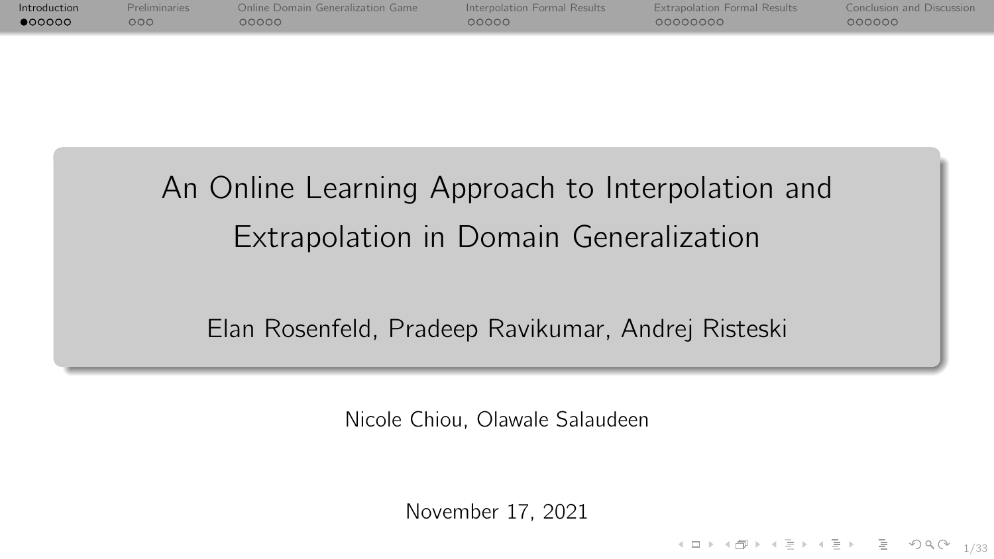<span id="page-0-0"></span>

| Introduction | <b>Preliminaries</b> | Online Domain Generalization Game | Interpolation Formal Results | <b>Extrapolation Formal Results</b> | <b>Conclusion and Discussion</b> |
|--------------|----------------------|-----------------------------------|------------------------------|-------------------------------------|----------------------------------|
| 000000       | റററ                  | OOOOO -                           | OOOOO.                       | 00000000                            | 000000                           |
|              |                      |                                   |                              |                                     |                                  |

# An Online Learning Approach to Interpolation and Extrapolation in Domain Generalization

Elan Rosenfeld, Pradeep Ravikumar, Andrej Risteski

Nicole Chiou, Olawale Salaudeen

November 17, 2021

1/33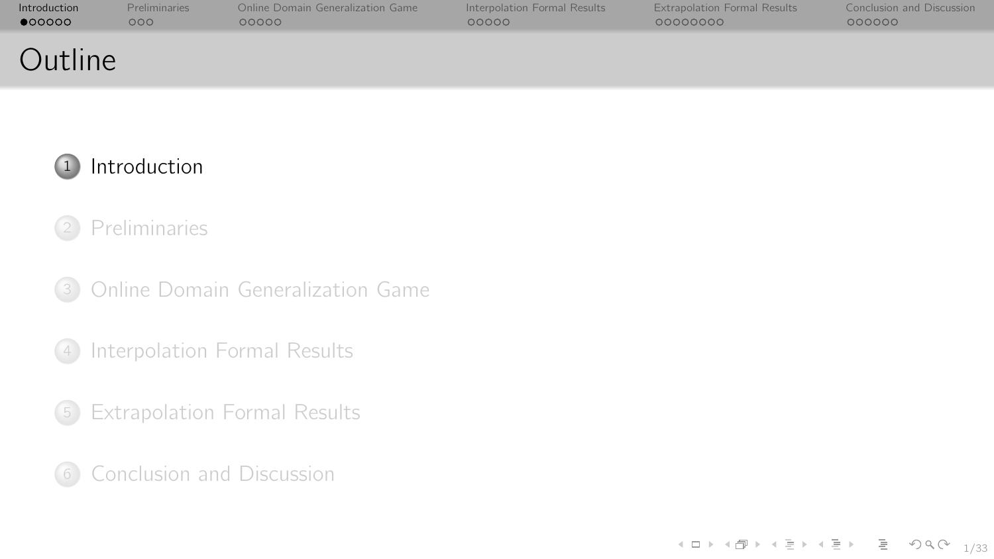| Introduction | <b>Preliminaries</b> | Online Domain Generalization Game | Interpolation Formal Results | <b>Extrapolation Formal Results</b> | Conclusion and Discussion |
|--------------|----------------------|-----------------------------------|------------------------------|-------------------------------------|---------------------------|
| •000000      | 000                  | 00000                             | 00000                        | 00000000                            | 000000                    |
| Outline      |                      |                                   |                              |                                     |                           |



# [Introduction](#page-0-0)

## [Preliminaries](#page-10-0)

[Online Domain Generalization Game](#page-17-0)

[Interpolation Formal Results](#page-30-0)

[Extrapolation Formal Results](#page-41-0)

[Conclusion and Discussion](#page-61-0)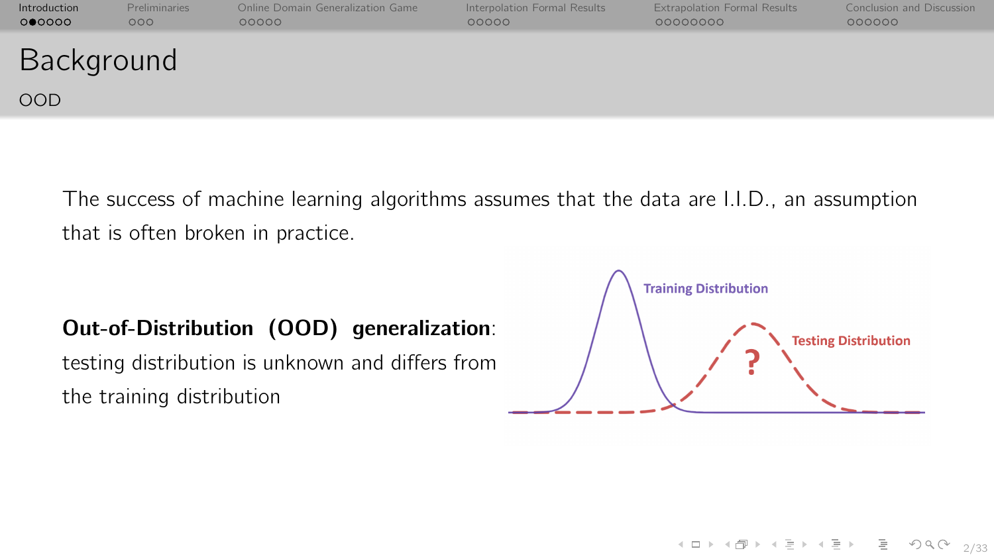| Introduction<br>0 00000  | Preliminaries<br>000 | Online Domain Generalization Game<br>00000 | Interpolation Formal Results<br>00000 | <b>Extrapolation Formal Results</b><br>00000000 | Conclusion and Discussion<br>000000 |
|--------------------------|----------------------|--------------------------------------------|---------------------------------------|-------------------------------------------------|-------------------------------------|
| Background<br><b>OOD</b> |                      |                                            |                                       |                                                 |                                     |
|                          |                      |                                            |                                       |                                                 |                                     |

The success of machine learning algorithms assumes that the data are I.I.D., an assumption that is often broken in practice.

#### Out-of-Distribution (OOD) generalization:

testing distribution is unknown and differs from the training distribution



イロト (伊) (ミ) (ミ) (ミ) ミーのQ(V)

2/33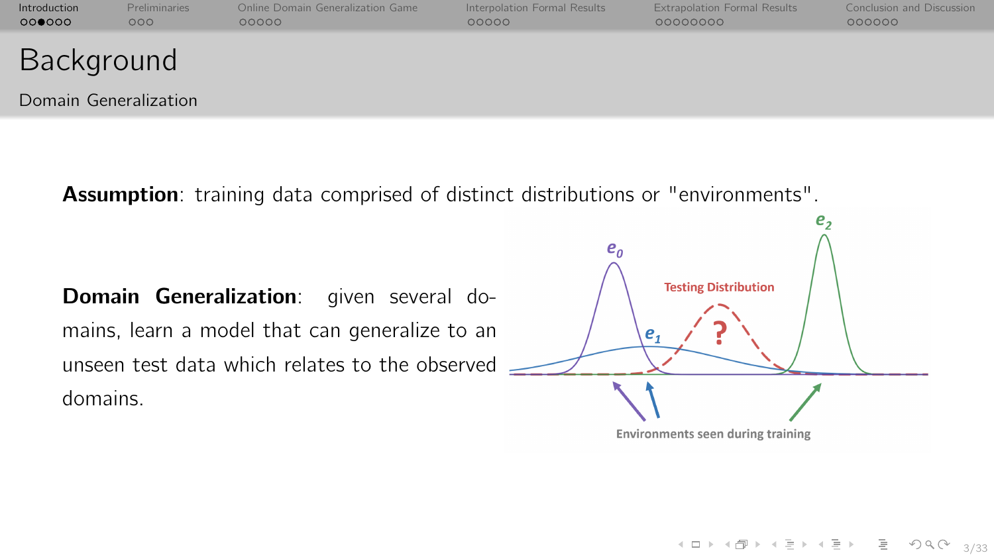| Introduction<br>000000 | Preliminaries<br>000 | Online Domain Generalization Game<br>00000 | Interpolation Formal Results<br>00000 | <b>Extrapolation Formal Results</b><br>00000000 | Conclusion and Discussion<br>000000 |
|------------------------|----------------------|--------------------------------------------|---------------------------------------|-------------------------------------------------|-------------------------------------|
| Background             |                      |                                            |                                       |                                                 |                                     |
| Domain Generalization  |                      |                                            |                                       |                                                 |                                     |

Assumption: training data comprised of distinct distributions or "environments".

Domain Generalization: given several domains, learn a model that can generalize to an unseen test data which relates to the observed domains.



Environments seen during training

4 ロ → 4 레 → 4 레 → 4 페 → → 페 레 - 페 - 페 - 페 - 페 - 페 - 페 - 페 - 레 - 3/33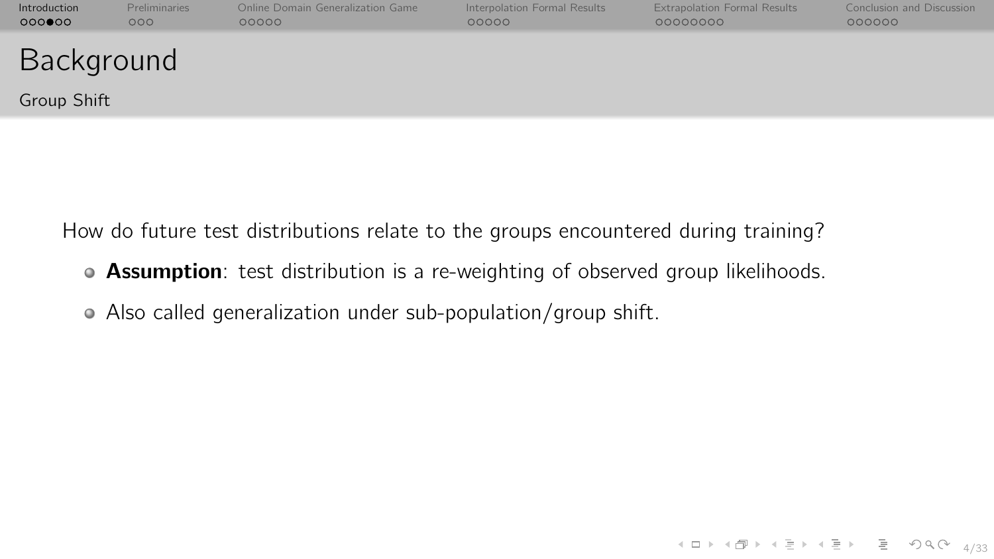| Introduction<br>000000    | <b>Preliminaries</b><br>000 | Online Domain Generalization Game<br>00000 | Interpolation Formal Results<br>00000 | <b>Extrapolation Formal Results</b><br>00000000 | Conclusion and Discussion<br>000000 |
|---------------------------|-----------------------------|--------------------------------------------|---------------------------------------|-------------------------------------------------|-------------------------------------|
| Background<br>Group Shift |                             |                                            |                                       |                                                 |                                     |
|                           |                             |                                            |                                       |                                                 |                                     |

How do future test distributions relate to the groups encountered during training?

- Assumption: test distribution is a re-weighting of observed group likelihoods.
- Also called generalization under sub-population/group shift.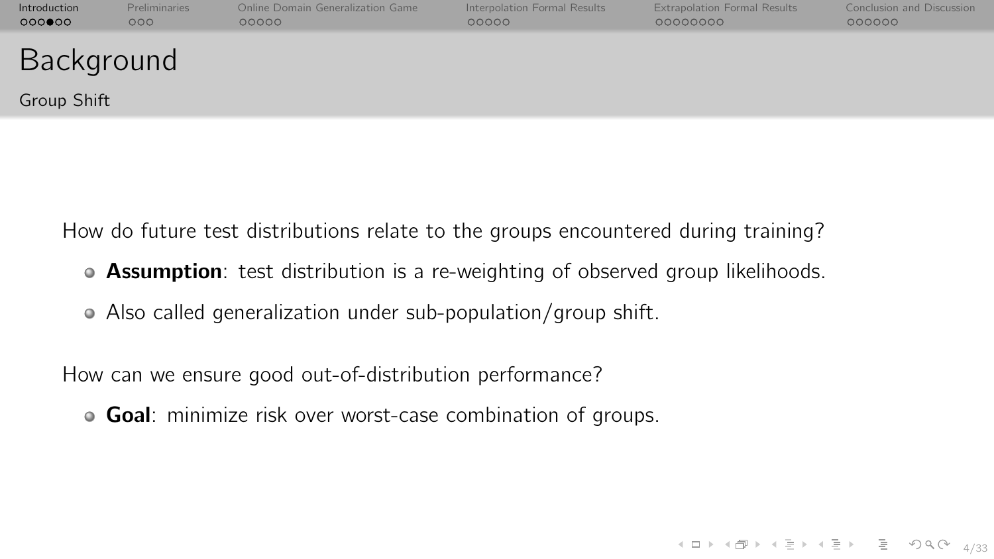| Introduction<br>000000    | <b>Preliminaries</b><br>000 | Online Domain Generalization Game<br>00000 | Interpolation Formal Results<br>00000 | <b>Extrapolation Formal Results</b><br>00000000 | Conclusion and Discussion<br>000000 |
|---------------------------|-----------------------------|--------------------------------------------|---------------------------------------|-------------------------------------------------|-------------------------------------|
| Background<br>Group Shift |                             |                                            |                                       |                                                 |                                     |
|                           |                             |                                            |                                       |                                                 |                                     |

How do future test distributions relate to the groups encountered during training?

- **Assumption**: test distribution is a re-weighting of observed group likelihoods.
- Also called generalization under sub-population/group shift.

How can we ensure good out-of-distribution performance?

**Goal:** minimize risk over worst-case combination of groups.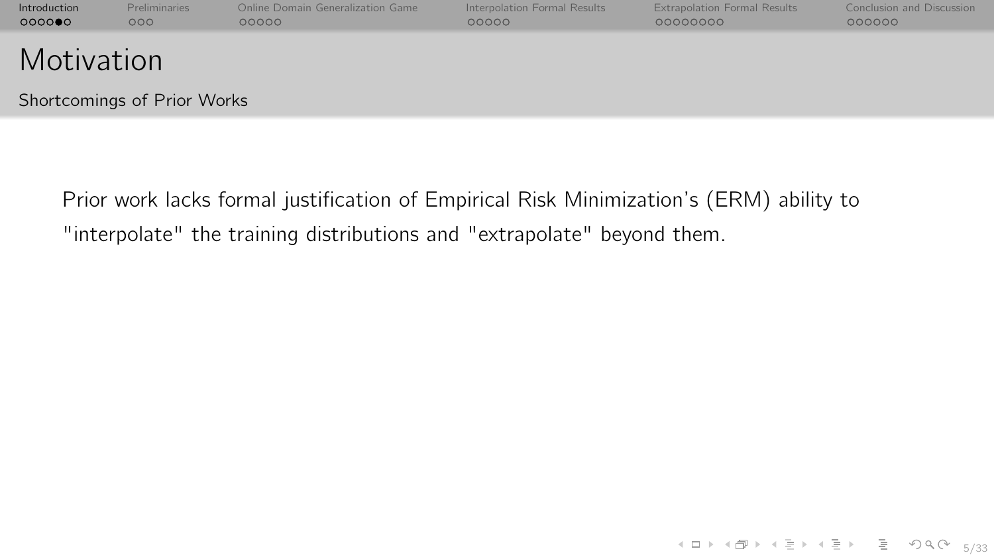| Introduction<br>000000 | Preliminaries<br>000        | Online Domain Generalization Game<br>00000 | Interpolation Formal Results<br>00000 | <b>Extrapolation Formal Results</b><br>00000000 | Conclusion and Discussion<br>000000 |
|------------------------|-----------------------------|--------------------------------------------|---------------------------------------|-------------------------------------------------|-------------------------------------|
| Motivation             |                             |                                            |                                       |                                                 |                                     |
|                        | Shortcomings of Prior Works |                                            |                                       |                                                 |                                     |

Prior work lacks formal justification of Empirical Risk Minimization's (ERM) ability to "interpolate" the training distributions and "extrapolate" beyond them.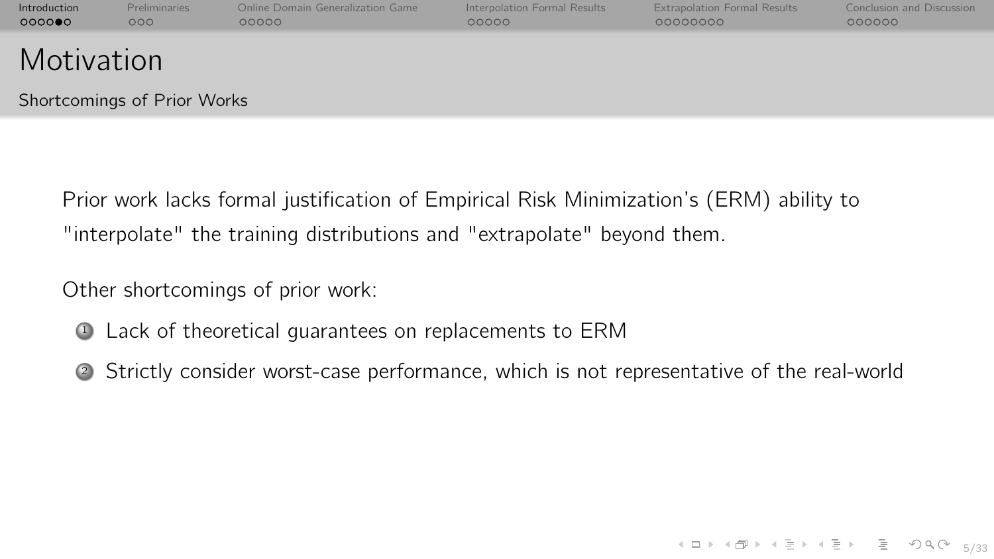| Introduction | <b>Preliminaries</b> | Online Domain Generalization Game | Interpolation Formal Results | <b>Extrapolation Formal Results</b> | Conclusion and Discussion |
|--------------|----------------------|-----------------------------------|------------------------------|-------------------------------------|---------------------------|
| 000000       | 000 <sub>o</sub>     | 00000                             | 00000                        | 00000000                            | 000000                    |
| Motivation   |                      |                                   |                              |                                     |                           |

Shortcomings of Prior Works

Prior work lacks formal justification of Empirical Risk Minimization's (ERM) ability to "interpolate" the training distributions and "extrapolate" beyond them.

Other shortcomings of prior work:

- <sup>1</sup> Lack of theoretical guarantees on replacements to ERM
- <sup>2</sup> Strictly consider worst-case performance, which is not representative of the real-world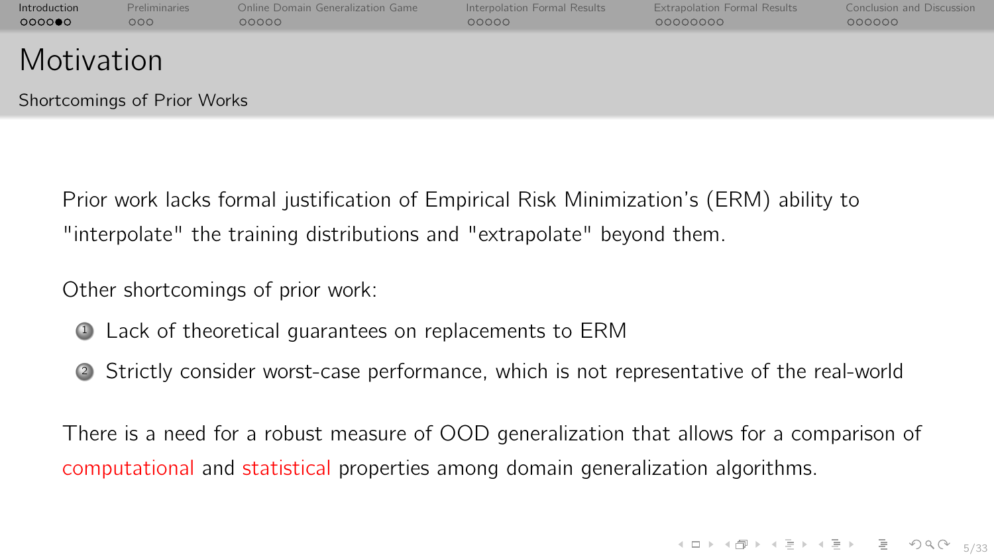| Introduction | <b>Preliminaries</b> | Online Domain Generalization Game | Interpolation Formal Results | <b>Extrapolation Formal Results</b> | Conclusion and Discussion |
|--------------|----------------------|-----------------------------------|------------------------------|-------------------------------------|---------------------------|
| 000000       | 000 <sub>o</sub>     | 00000                             | 00000                        | 00000000                            | 000000                    |
| Motivation   |                      |                                   |                              |                                     |                           |

Shortcomings of Prior Works

Prior work lacks formal justification of Empirical Risk Minimization's (ERM) ability to "interpolate" the training distributions and "extrapolate" beyond them.

Other shortcomings of prior work:

- <sup>1</sup> Lack of theoretical guarantees on replacements to ERM
- <sup>2</sup> Strictly consider worst-case performance, which is not representative of the real-world

There is a need for a robust measure of OOD generalization that allows for a comparison of computational and statistical properties among domain generalization algorithms.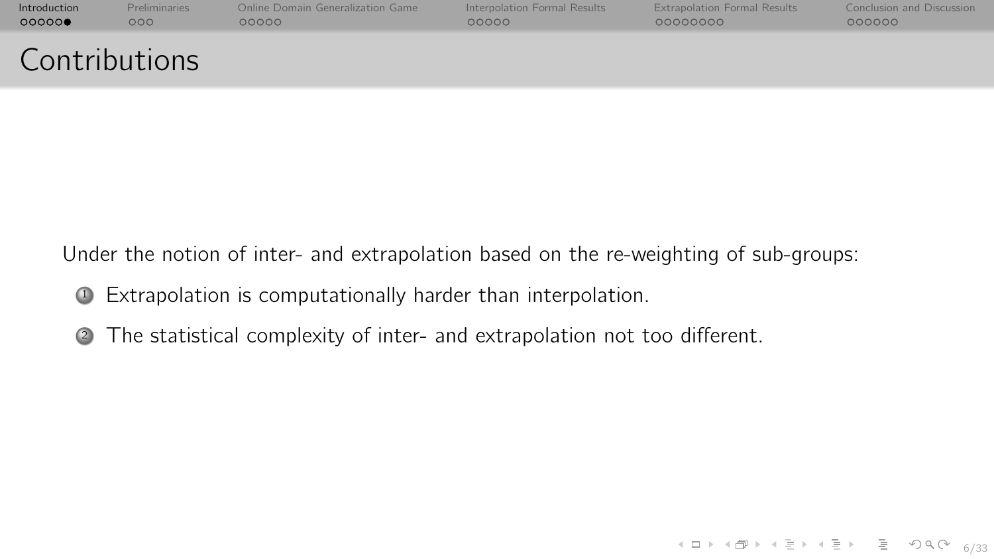| Introduction         | <b>Preliminaries</b> | Online Domain Generalization Game | Interpolation Formal Results | <b>Extrapolation Formal Results</b> | Conclusion and Discussion |
|----------------------|----------------------|-----------------------------------|------------------------------|-------------------------------------|---------------------------|
| 00000                | 000                  | 00000                             | 00000                        | 00000000                            | 000000                    |
| <b>Contributions</b> |                      |                                   |                              |                                     |                           |

Under the notion of inter- and extrapolation based on the re-weighting of sub-groups:

- <sup>1</sup> Extrapolation is computationally harder than interpolation.
- <sup>2</sup> The statistical complexity of inter- and extrapolation not too different.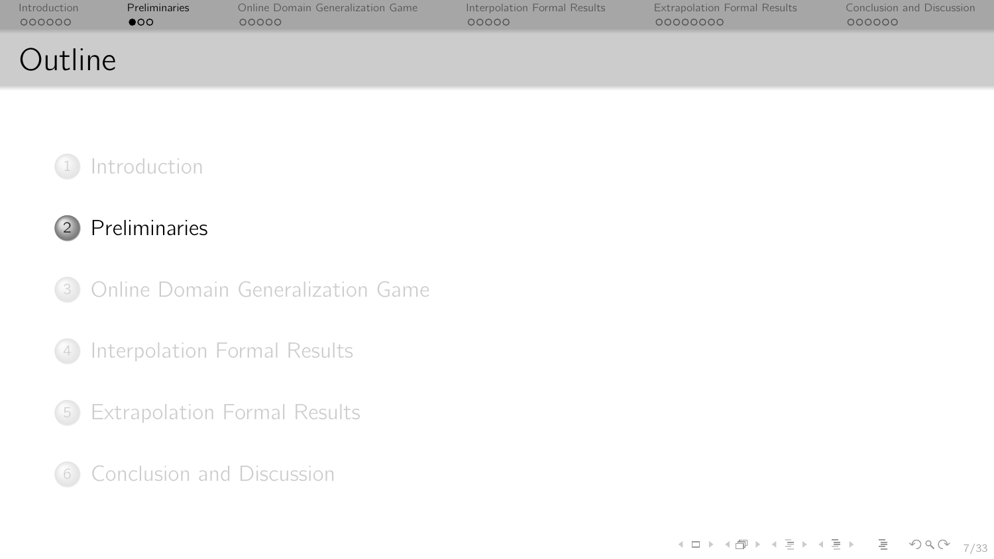<span id="page-10-0"></span>

| Introduction | <b>Preliminaries</b> | Online Domain Generalization Game | Interpolation Formal Results | <b>Extrapolation Formal Results</b> | Conclusion and Discussion |
|--------------|----------------------|-----------------------------------|------------------------------|-------------------------------------|---------------------------|
| 000000       | $\bullet$            | ററററ                              | 00000                        | 00000000                            | 000000                    |
| Outline      |                      |                                   |                              |                                     |                           |



## [Preliminaries](#page-10-0)

[Online Domain Generalization Game](#page-17-0)

[Interpolation Formal Results](#page-30-0)

[Extrapolation Formal Results](#page-41-0)

[Conclusion and Discussion](#page-61-0)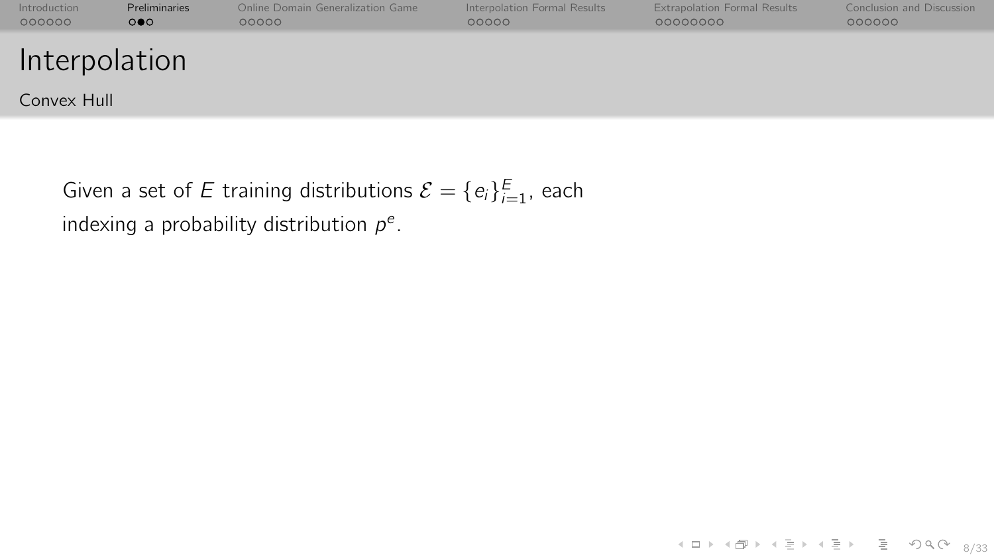| Introduction<br>000000 | Preliminaries<br>$\circ \bullet \circ$ | Online Domain Generalization Game<br>00000 | Interpolation Formal Results<br>00000 | <b>Extrapolation Formal Results</b><br>00000000 | Conclusion and Discussion<br>000000 |
|------------------------|----------------------------------------|--------------------------------------------|---------------------------------------|-------------------------------------------------|-------------------------------------|
| Interpolation          |                                        |                                            |                                       |                                                 |                                     |
| Convex Hull            |                                        |                                            |                                       |                                                 |                                     |

Given a set of E training distributions  $\mathcal{E} = \{e_i\}_{i=1}^E$ , each indexing a probability distribution  $p^e$ .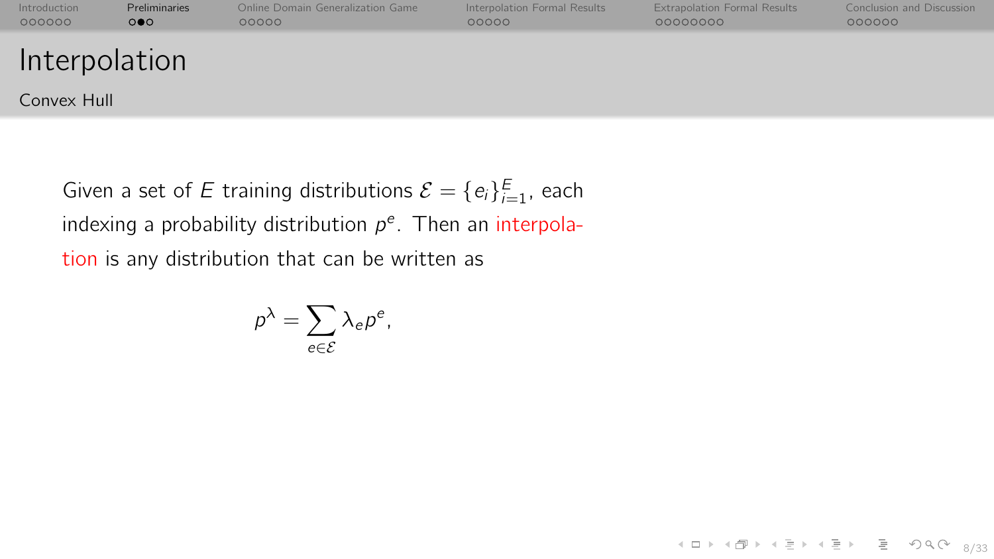| Introduction  | Preliminaries         | Online Domain Generalization Game | Interpolation Formal Results | <b>Extrapolation Formal Results</b> | Conclusion and Discussion |
|---------------|-----------------------|-----------------------------------|------------------------------|-------------------------------------|---------------------------|
| 000000        | $\circ \bullet \circ$ | 00000                             | 00000                        | 00000000                            | 000000                    |
| Interpolation |                       |                                   |                              |                                     |                           |

Convex Hull

Given a set of E training distributions  $\mathcal{E} = \{e_i\}_{i=1}^E$ , each indexing a probability distribution  $p^e$ . Then an interpolation is any distribution that can be written as

$$
p^{\lambda} = \sum_{e \in \mathcal{E}} \lambda_e p^e,
$$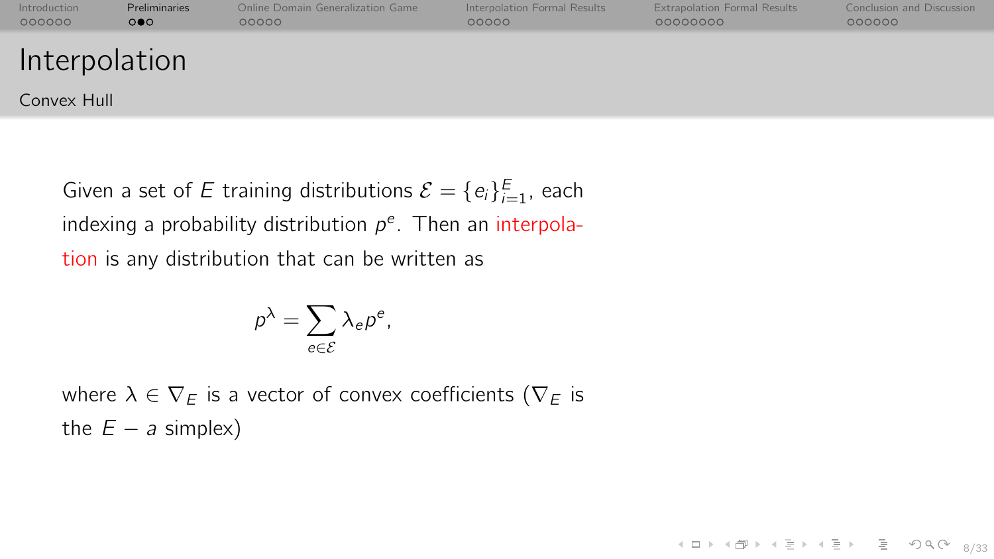| Introduction  | Preliminaries         | Online Domain Generalization Game | Interpolation Formal Results | <b>Extrapolation Formal Results</b> | Conclusion and Discussion |
|---------------|-----------------------|-----------------------------------|------------------------------|-------------------------------------|---------------------------|
| 000000        | $\circ \bullet \circ$ | 00000                             | 00000                        | 00000000                            | 000000                    |
| Interpolation |                       |                                   |                              |                                     |                           |

4 미 > 4 레 > 4 페 > 4 페 > 페 코 > 이익어 8/33

Convex Hull

Given a set of E training distributions  $\mathcal{E} = \{e_i\}_{i=1}^E$ , each indexing a probability distribution  $p^e$ . Then an interpolation is any distribution that can be written as

$$
\rho^{\lambda} = \sum_{e \in \mathcal{E}} \lambda_e \rho^e,
$$

where  $\lambda \in \nabla_F$  is a vector of convex coefficients ( $\nabla_F$  is the  $E - a$  simplex)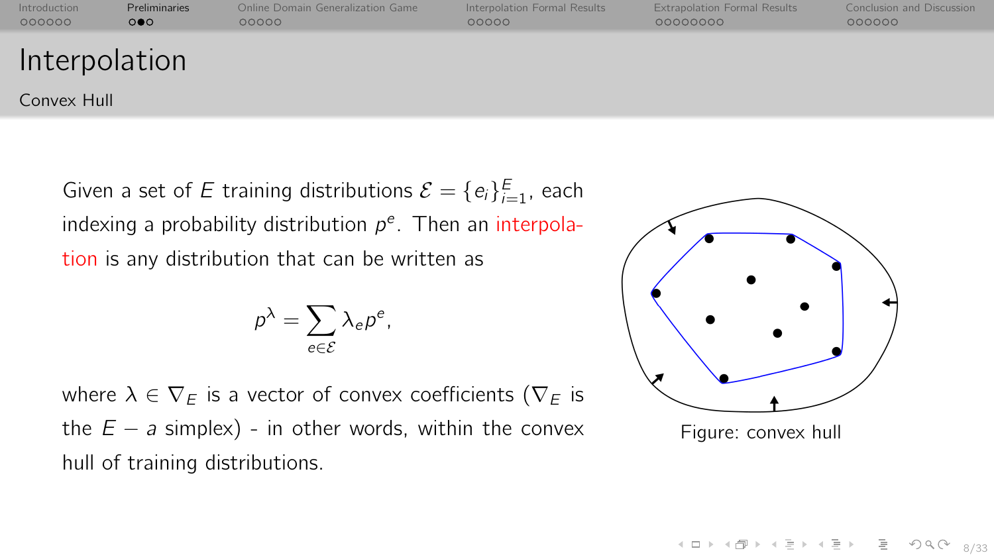| Introduction  | Preliminaries       | Online Domain Generalization Game | Interpolation Formal Results | <b>Extrapolation Formal Results</b> | Conclusion and Discussion |
|---------------|---------------------|-----------------------------------|------------------------------|-------------------------------------|---------------------------|
| 000000        | $\circ\bullet\circ$ | 00000                             | 00000                        | 00000000                            | 000000                    |
| Interpolation |                     |                                   |                              |                                     |                           |

Convex Hull

Given a set of E training distributions  $\mathcal{E} = \{e_i\}_{i=1}^E$ , each indexing a probability distribution  $p^e$ . Then an interpolation is any distribution that can be written as

$$
\rho^{\lambda} = \sum_{e \in \mathcal{E}} \lambda_e \rho^e,
$$

where  $\lambda \in \nabla_F$  is a vector of convex coefficients ( $\nabla_F$  is the  $E - a$  simplex) - in other words, within the convex hull of training distributions.



Figure: convex hull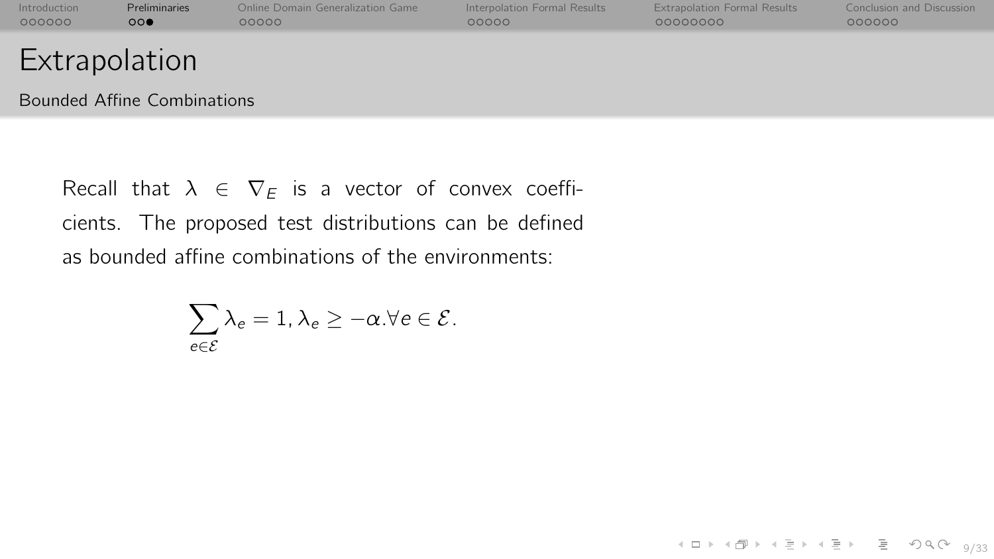| Introduction  | <b>Preliminaries</b> | Online Domain Generalization Game | Interpolation Formal Results | <b>Extrapolation Formal Results</b> | Conclusion and Discussion |
|---------------|----------------------|-----------------------------------|------------------------------|-------------------------------------|---------------------------|
| 000000        | $\circ\circ\bullet$  | 00000                             | 00000                        | 00000000                            | 000000                    |
| Extrapolation |                      |                                   |                              |                                     |                           |

4 ロ → 4 레 → 4 리 → 4 리 → 그리 → 9 이 Q (2 9/33)

Bounded Affine Combinations

Recall that  $\lambda \in \nabla_F$  is a vector of convex coefficients. The proposed test distributions can be defined as bounded affine combinations of the environments:

$$
\sum_{e \in \mathcal{E}} \lambda_e = 1, \lambda_e \geq -\alpha. \forall e \in \mathcal{E}.
$$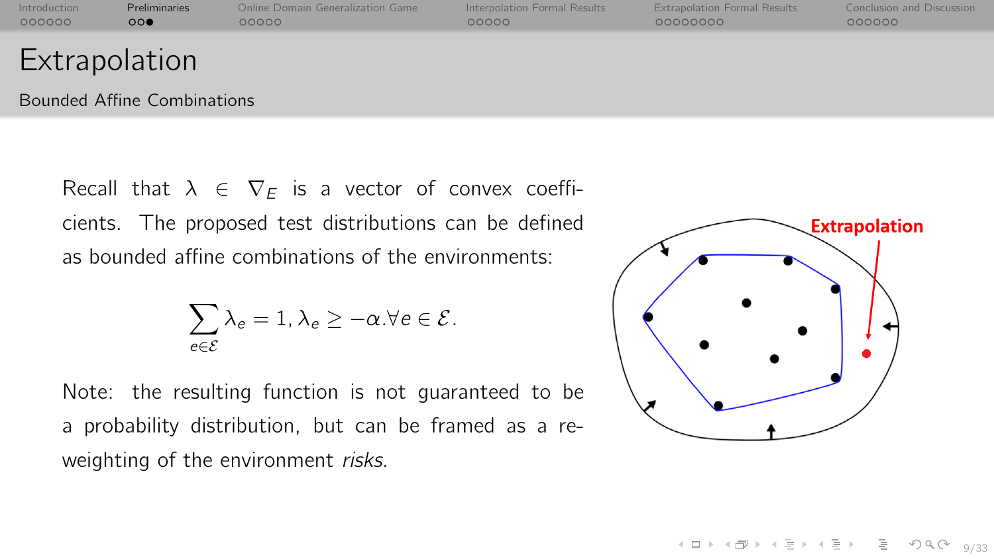| Introduction  | <b>Preliminaries</b> | Online Domain Generalization Game | Interpolation Formal Results | <b>Extrapolation Formal Results</b> | Conclusion and Discussion |
|---------------|----------------------|-----------------------------------|------------------------------|-------------------------------------|---------------------------|
| 000000        | $\circ\circ\bullet$  | 00000                             | 00000                        | 00000000                            | 000000                    |
| Extrapolation |                      |                                   |                              |                                     |                           |

Bounded Affine Combinations

Recall that  $\lambda \in \nabla_F$  is a vector of convex coefficients. The proposed test distributions can be defined as bounded affine combinations of the environments:

$$
\sum_{e \in \mathcal{E}} \lambda_e = 1, \lambda_e \geq -\alpha. \forall e \in \mathcal{E}.
$$

Note: the resulting function is not guaranteed to be a probability distribution, but can be framed as a reweighting of the environment risks.



9/33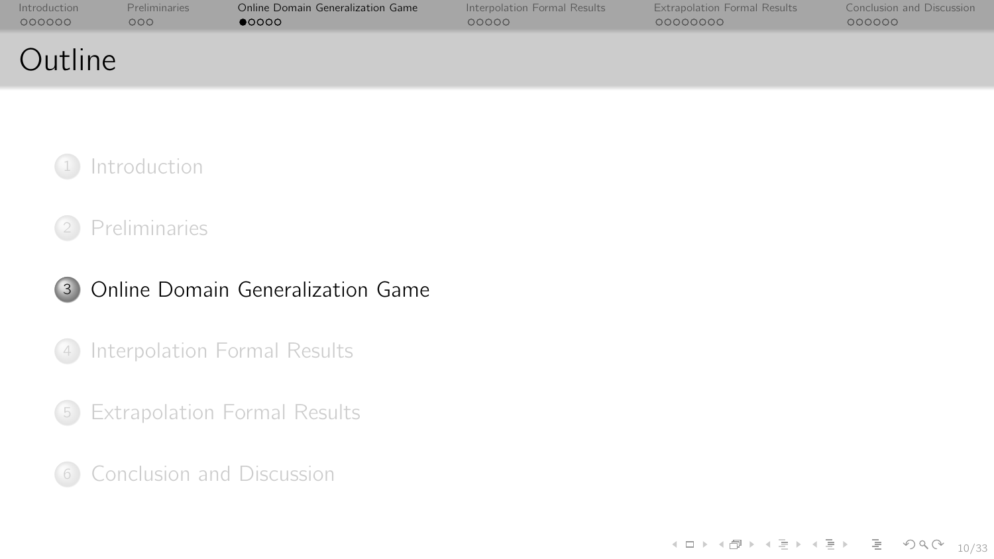<span id="page-17-0"></span>

| Introduction | <b>Preliminaries</b> | Online Domain Generalization Game | Interpolation Formal Results | <b>Extrapolation Formal Results</b> | Conclusion and Discussion |
|--------------|----------------------|-----------------------------------|------------------------------|-------------------------------------|---------------------------|
| 000000       | 000                  | 00000                             | 00000                        | 00000000                            | 000000                    |
| Outline      |                      |                                   |                              |                                     |                           |



## <sup>2</sup> [Preliminaries](#page-10-0)



## <sup>4</sup> [Interpolation Formal Results](#page-30-0)

<sup>5</sup> [Extrapolation Formal Results](#page-41-0)

<sup>6</sup> [Conclusion and Discussion](#page-61-0)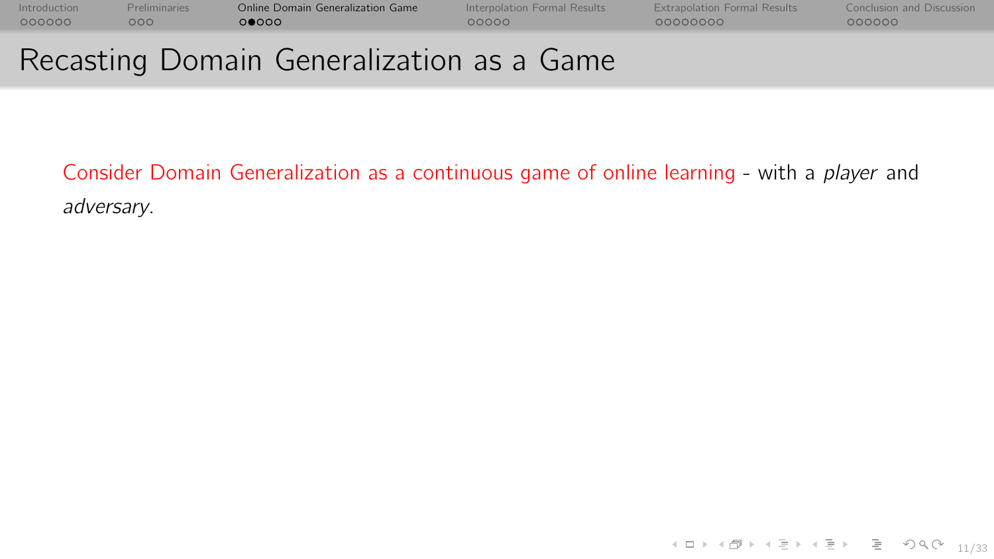[Introduction](#page-0-0) [Preliminaries](#page-10-0) [Online Domain Generalization Game](#page-17-0) [Interpolation Formal Results](#page-30-0) [Extrapolation Formal Results](#page-41-0) [Conclusion and Discussion](#page-61-0)

# Recasting Domain Generalization as a Game

Consider Domain Generalization as a continuous game of online learning - with a player and adversary.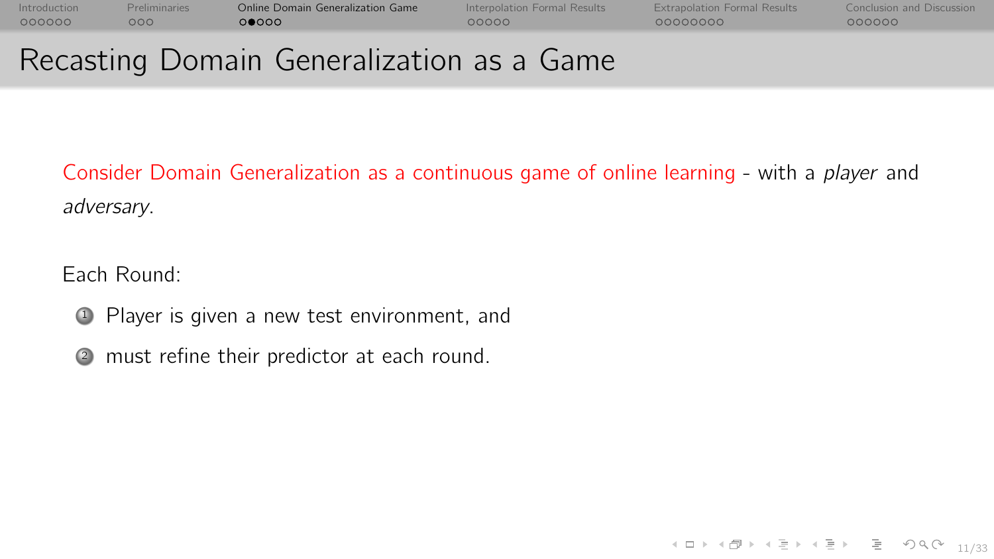COOCOO

[Introduction](#page-0-0) [Preliminaries](#page-10-0) [Online Domain Generalization Game](#page-17-0) [Interpolation Formal Results](#page-30-0) [Extrapolation Formal Results](#page-41-0) [Conclusion and Discussion](#page-61-0)

 $00000$ 

00000000

# Recasting Domain Generalization as a Game

Consider Domain Generalization as a continuous game of online learning - with a player and adversary.

Each Round:

<sup>1</sup> Player is given a new test environment, and

<sup>2</sup> must refine their predictor at each round.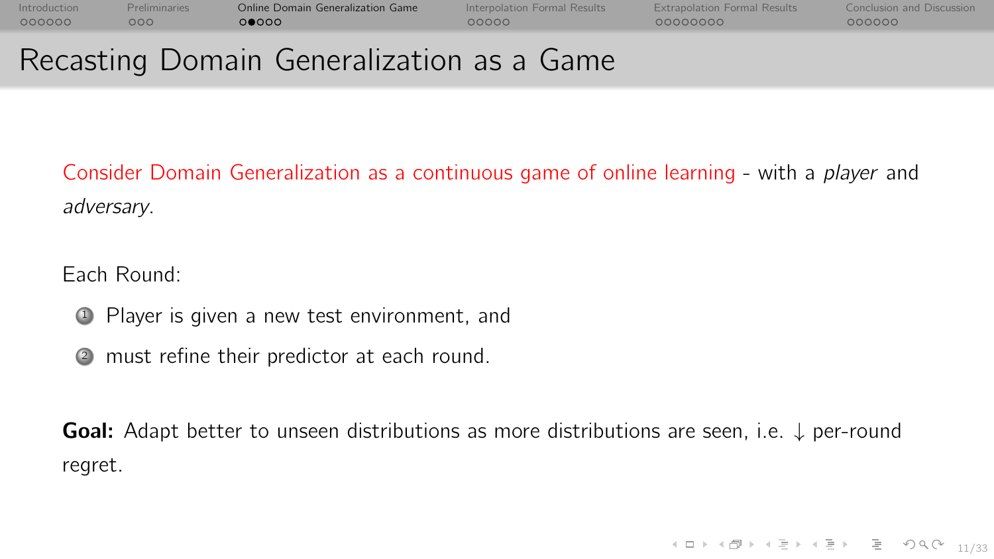COOCOO

[Introduction](#page-0-0) [Preliminaries](#page-10-0) [Online Domain Generalization Game](#page-17-0) [Interpolation Formal Results](#page-30-0) [Extrapolation Formal Results](#page-41-0) [Conclusion and Discussion](#page-61-0)  $00000$ 

 $00000$ 

00000000

# Recasting Domain Generalization as a Game

Consider Domain Generalization as a continuous game of online learning - with a player and adversary.

Each Round:

<sup>1</sup> Player is given a new test environment, and

<sup>2</sup> must refine their predictor at each round.

**Goal:** Adapt better to unseen distributions as more distributions are seen, i.e.  $\downarrow$  per-round regret.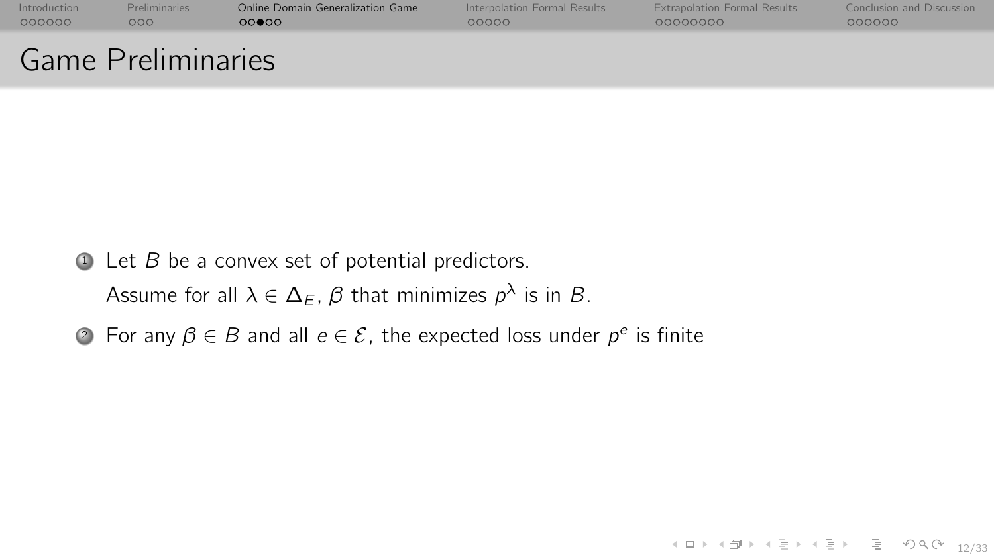| Introduction | <b>Preliminaries</b>      | Online Domain Generalization Game | Interpolation Formal Results | <b>Extrapolation Formal Results</b> | Conclusion and Discussion |
|--------------|---------------------------|-----------------------------------|------------------------------|-------------------------------------|---------------------------|
| 000000       | 000                       | 00000                             | 00000                        | 00000000                            | 000000                    |
|              | <b>Game Preliminaries</b> |                                   |                              |                                     |                           |

 $\bullet$  Let  $B$  be a convex set of potential predictors.

Assume for all  $\lambda \in \Delta_E$ ,  $\beta$  that minimizes  $\rho^\lambda$  is in  $B.$ 

2) For any  $\beta \in B$  and all  $e \in \mathcal{E}$ , the expected loss under  $p^e$  is finite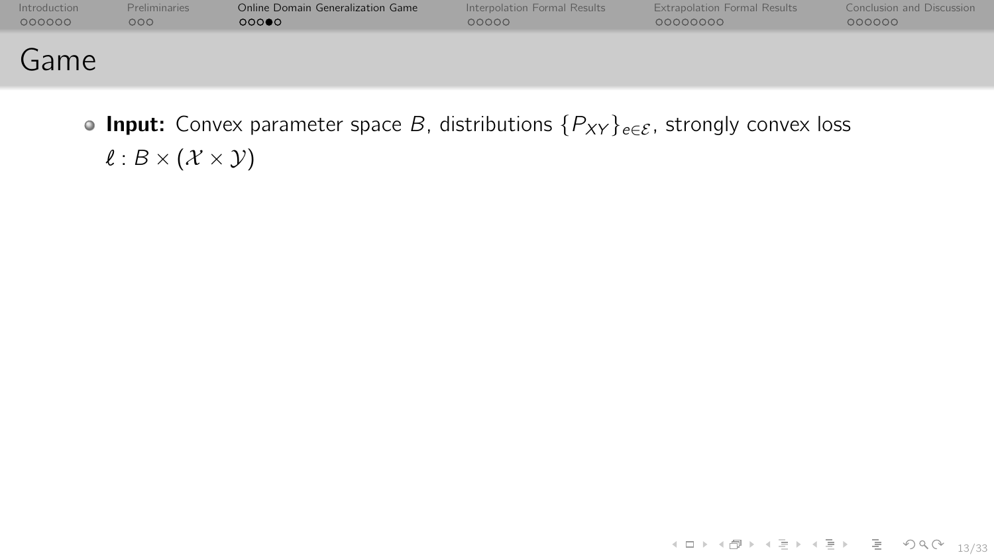| Introduction | Preliminaries | Online Domain Generalization Game | Interpolation Formal Results | <b>Extrapolation Formal Results</b> | <b>Conclusion and Discussion</b> |
|--------------|---------------|-----------------------------------|------------------------------|-------------------------------------|----------------------------------|
| 000000       | 000           | 00000                             | 00000                        | 00000000                            | 000000                           |
| Game         |               |                                   |                              |                                     |                                  |

**Input:** Convex parameter space B, distributions  $\{P_{XY}\}_{e \in \mathcal{E}}$ , strongly convex loss  $\ell : B \times (\mathcal{X} \times \mathcal{Y})$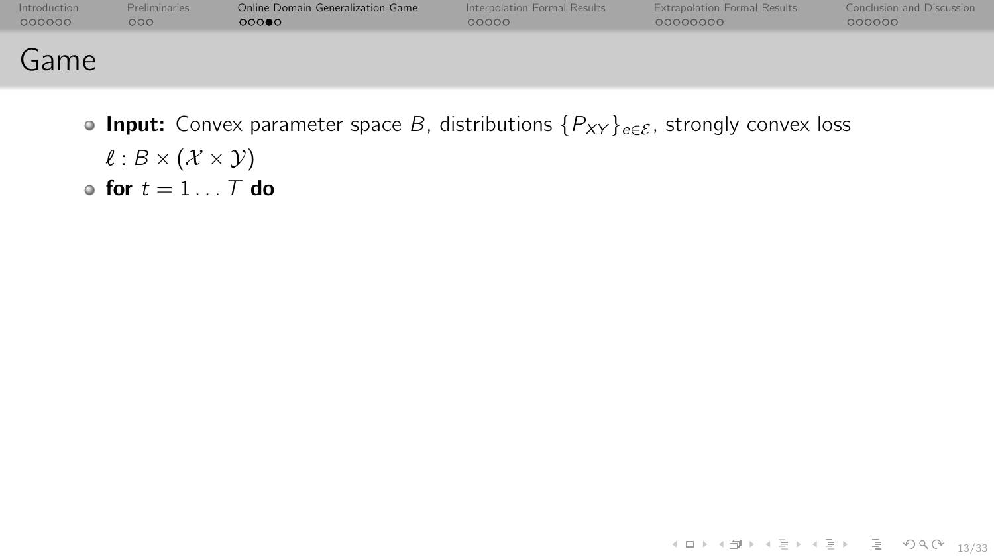| Introduction | <b>Preliminaries</b> | Online Domain Generalization Game | Interpolation Formal Results | <b>Extrapolation Formal Results</b> | Conclusion and Discussion |
|--------------|----------------------|-----------------------------------|------------------------------|-------------------------------------|---------------------------|
| 000000       | 000                  | 000                               | 00000                        | 00000000                            | 000000                    |
| Game         |                      |                                   |                              |                                     |                           |

**Input:** Convex parameter space B, distributions  $\{P_{XY}\}_{e \in \mathcal{E}}$ , strongly convex loss  $\ell : B \times (\mathcal{X} \times \mathcal{Y})$ • for  $t = 1...T$  do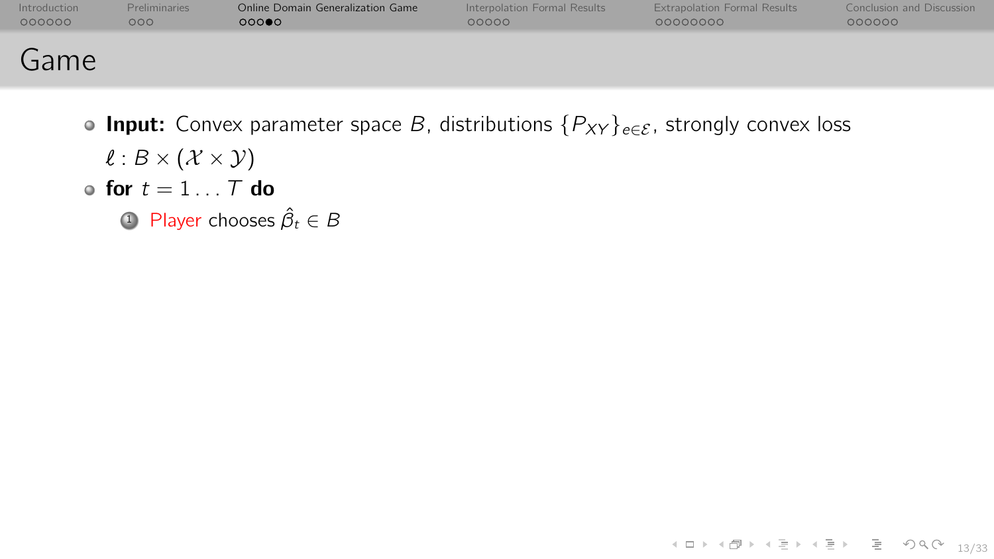| Introduction | <b>Preliminaries</b> | Online Domain Generalization Game | Interpolation Formal Results | <b>Extrapolation Formal Results</b> | <b>Conclusion and Discussion</b> |
|--------------|----------------------|-----------------------------------|------------------------------|-------------------------------------|----------------------------------|
| 000000       | 000                  | 00000                             | 00000                        | 00000000                            | 000000                           |
| Game         |                      |                                   |                              |                                     |                                  |

- **Input:** Convex parameter space B, distributions  $\{P_{XY}\}_{e \in \mathcal{E}}$ , strongly convex loss  $\ell : B \times (\mathcal{X} \times \mathcal{Y})$ • for  $t = 1...T$  do
	- 1 Player chooses  $\hat{\beta}_t \in B$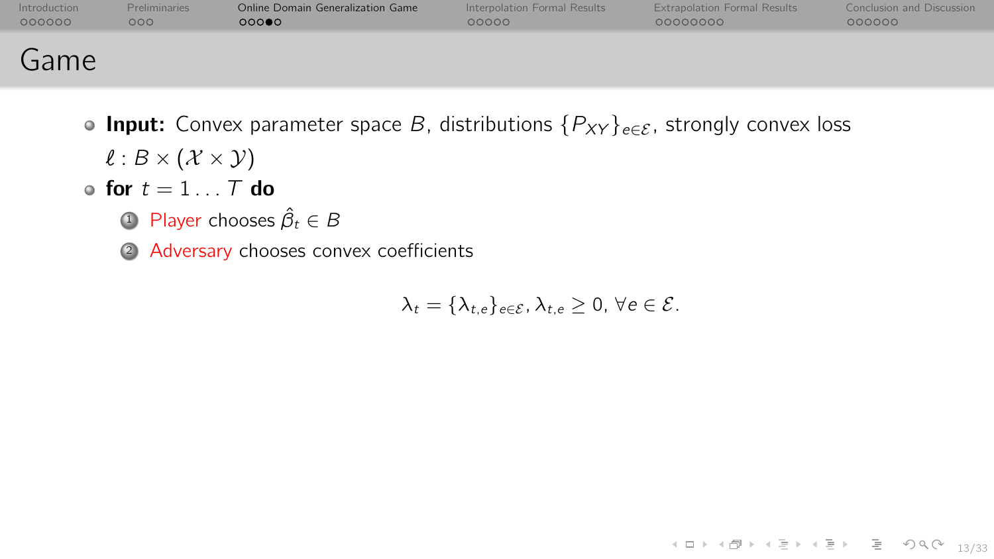| Introduction | <b>Preliminaries</b> | Online Domain Generalization Game | Interpolation Formal Results | <b>Extrapolation Formal Results</b> | <b>Conclusion and Discussion</b> |
|--------------|----------------------|-----------------------------------|------------------------------|-------------------------------------|----------------------------------|
| 000000       | 000                  | 000                               | 00000                        | 00000000                            | 000000                           |
| Game         |                      |                                   |                              |                                     |                                  |

- **Input:** Convex parameter space B, distributions  $\{P_{XY}\}_{e \in \mathcal{E}}$ , strongly convex loss  $\ell : B \times (\mathcal{X} \times \mathcal{Y})$
- for  $t = 1...T$  do
	- 1 Player chooses  $\hat{\beta}_t \in B$
	- <sup>2</sup> Adversary chooses convex coefficients

$$
\lambda_t = \{\lambda_{t,e}\}_{e \in \mathcal{E}}, \lambda_{t,e} \geq 0, \forall e \in \mathcal{E}.
$$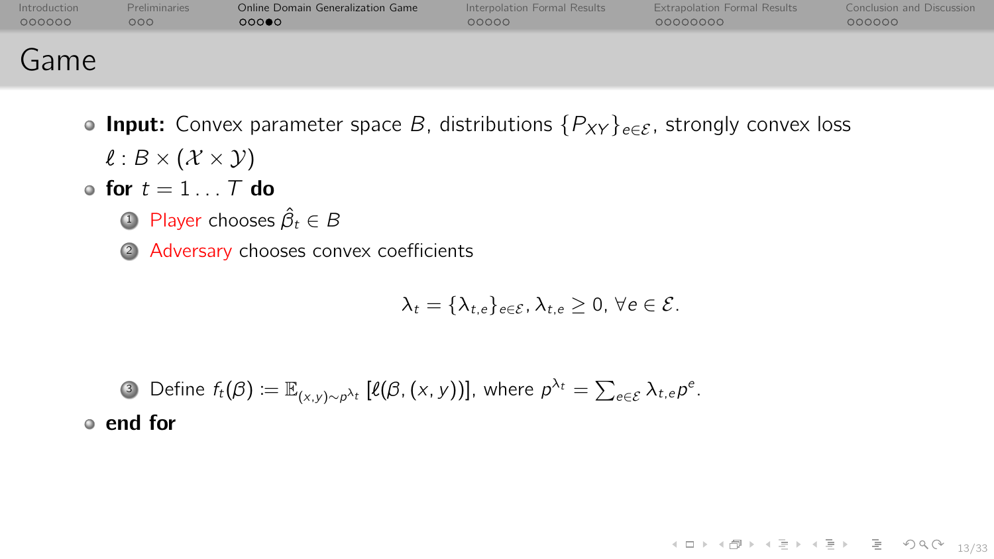| Introduction | <b>Preliminaries</b> | Online Domain Generalization Game | Interpolation Formal Results | <b>Extrapolation Formal Results</b> | <b>Conclusion and Discussion</b> |
|--------------|----------------------|-----------------------------------|------------------------------|-------------------------------------|----------------------------------|
| 000000       | 000                  | 000                               | 00000                        | 00000000                            | 000000                           |
| Game         |                      |                                   |                              |                                     |                                  |

- **Input:** Convex parameter space B, distributions  $\{P_{XY}\}_{e \in \mathcal{E}}$ , strongly convex loss  $\ell : B \times (\mathcal{X} \times \mathcal{Y})$
- for  $t = 1...T$  do
	- 1 Player chooses  $\hat{\beta}_t \in B$
	- <sup>2</sup> Adversary chooses convex coefficients

$$
\lambda_t = \{\lambda_{t,e}\}_{e \in \mathcal{E}}, \lambda_{t,e} \geq 0, \forall e \in \mathcal{E}.
$$

3) Define  $f_t(\beta)\coloneqq\mathbb{E}_{(\mathsf{x},\mathsf{y})\sim p^{\lambda_t}}\left[\ell(\beta,(\mathsf{x},\mathsf{y}))\right]$ , where  $p^{\lambda_t}=\sum_{e\in\mathcal{E}}\lambda_{t,e}p^e$ . end for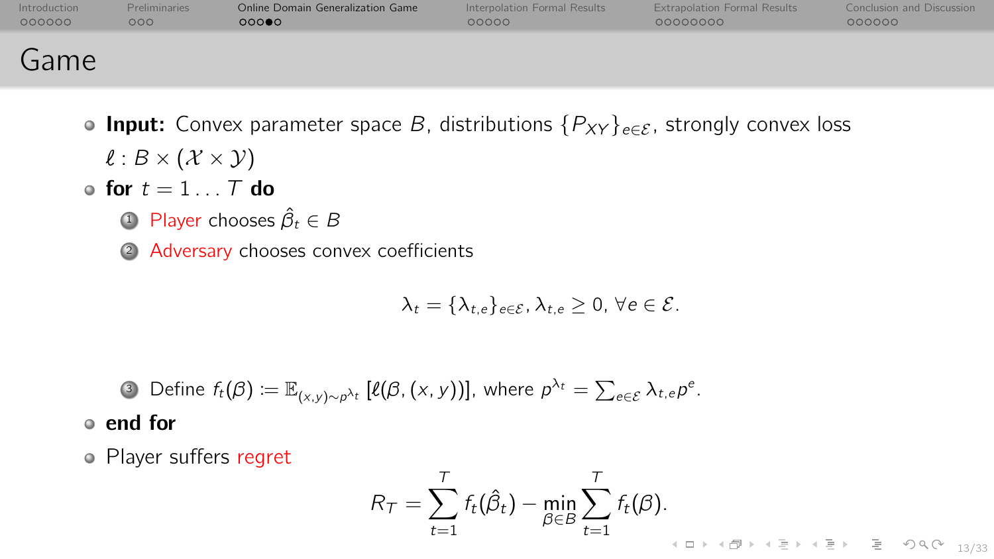| Introduction | <b>Preliminaries</b> | Online Domain Generalization Game | Interpolation Formal Results | <b>Extrapolation Formal Results</b> | <b>Conclusion and Discussion</b> |
|--------------|----------------------|-----------------------------------|------------------------------|-------------------------------------|----------------------------------|
| 000000       | 000                  | 00000                             | 00000                        | 00000000                            | 000000                           |
| Game         |                      |                                   |                              |                                     |                                  |

- **Input:** Convex parameter space B, distributions  $\{P_{XY}\}_{e \in \mathcal{E}}$ , strongly convex loss  $\ell : B \times (\mathcal{X} \times \mathcal{Y})$
- for  $t = 1...T$  do
	- 1 Player chooses  $\hat{\beta}_t \in B$
	- <sup>2</sup> Adversary chooses convex coefficients

$$
\lambda_t = \{\lambda_{t,e}\}_{e \in \mathcal{E}}, \lambda_{t,e} \geq 0, \forall e \in \mathcal{E}.
$$

\n- Define 
$$
f_t(\beta) := \mathbb{E}_{(x,y)\sim p^{\lambda_t}} [\ell(\beta, (x, y))]
$$
, where  $p^{\lambda_t} = \sum_{e \in \mathcal{E}} \lambda_{t,e} p^e$ .
\n- end for
\n

Player suffers regret

$$
R_{\mathcal{T}} = \sum_{t=1}^T f_t(\hat{\beta}_t) - \min_{\beta \in B} \sum_{t=1}^T f_t(\beta).
$$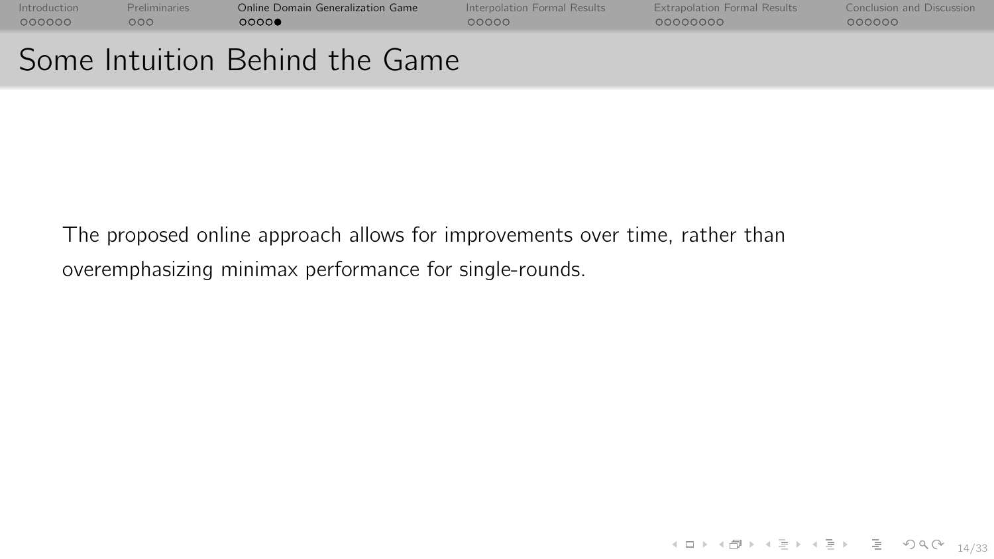[Introduction](#page-0-0) [Preliminaries](#page-10-0) [Online Domain Generalization Game](#page-17-0) [Interpolation Formal Results](#page-30-0) [Extrapolation Formal Results](#page-41-0) [Conclusion and Discussion](#page-61-0)  $00000$ 

00000000

# Some Intuition Behind the Game

The proposed online approach allows for improvements over time, rather than overemphasizing minimax performance for single-rounds.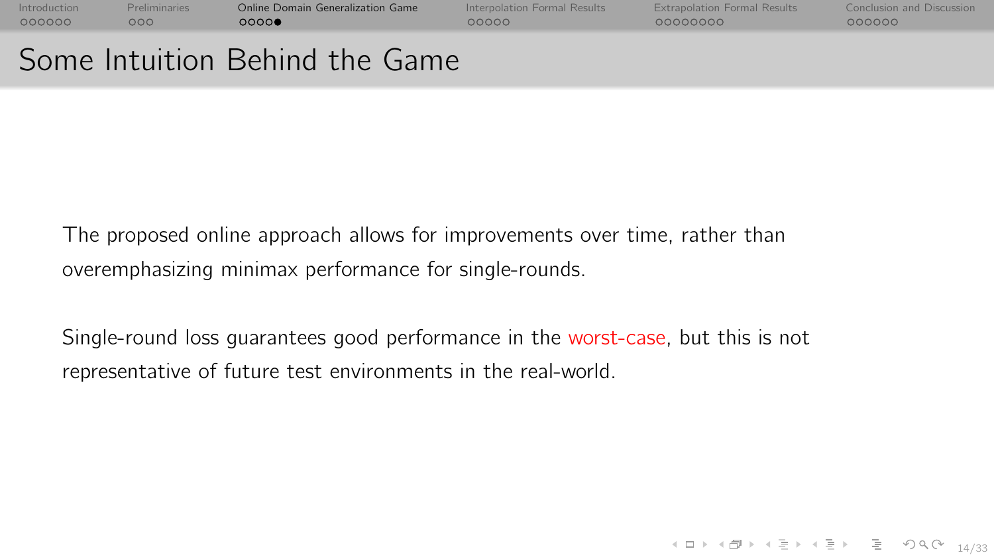[Introduction](#page-0-0) [Preliminaries](#page-10-0) [Online Domain Generalization Game](#page-17-0) [Interpolation Formal Results](#page-30-0) [Extrapolation Formal Results](#page-41-0) [Conclusion and Discussion](#page-61-0)

# Some Intuition Behind the Game

COOCOO

The proposed online approach allows for improvements over time, rather than overemphasizing minimax performance for single-rounds.

Single-round loss guarantees good performance in the worst-case, but this is not representative of future test environments in the real-world.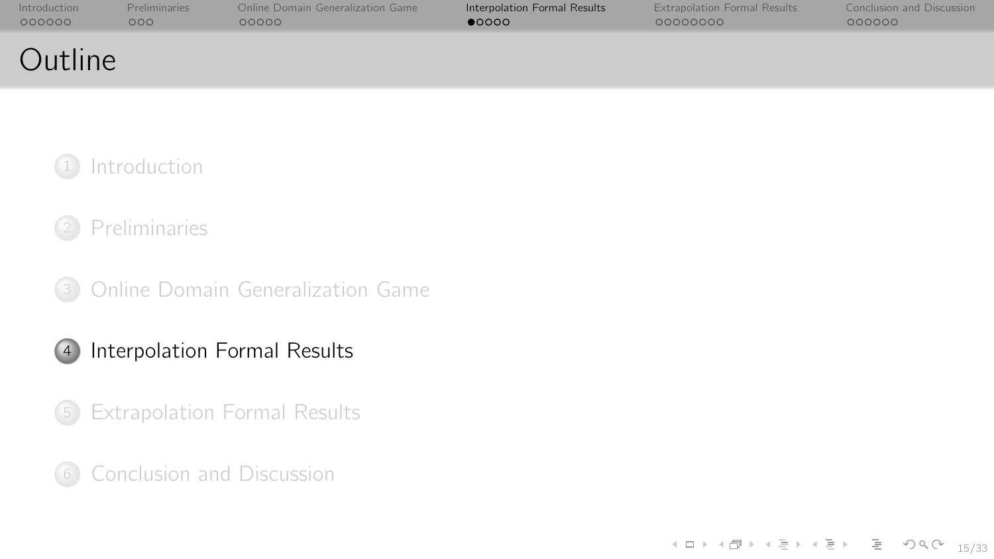<span id="page-30-0"></span>

| Introduction | Preliminaries    | Online Domain Generalization Game | Interpolation Formal Results | <b>Extrapolation Formal Results</b> | Conclusion and Discussion |
|--------------|------------------|-----------------------------------|------------------------------|-------------------------------------|---------------------------|
| 000000       | 000 <sub>o</sub> | 00000                             | 00000                        | 00000000                            | 000000                    |
| Outline      |                  |                                   |                              |                                     |                           |



## <sup>2</sup> [Preliminaries](#page-10-0)

<sup>3</sup> [Online Domain Generalization Game](#page-17-0)

## <sup>4</sup> [Interpolation Formal Results](#page-30-0)

<sup>5</sup> [Extrapolation Formal Results](#page-41-0)

<sup>6</sup> [Conclusion and Discussion](#page-61-0)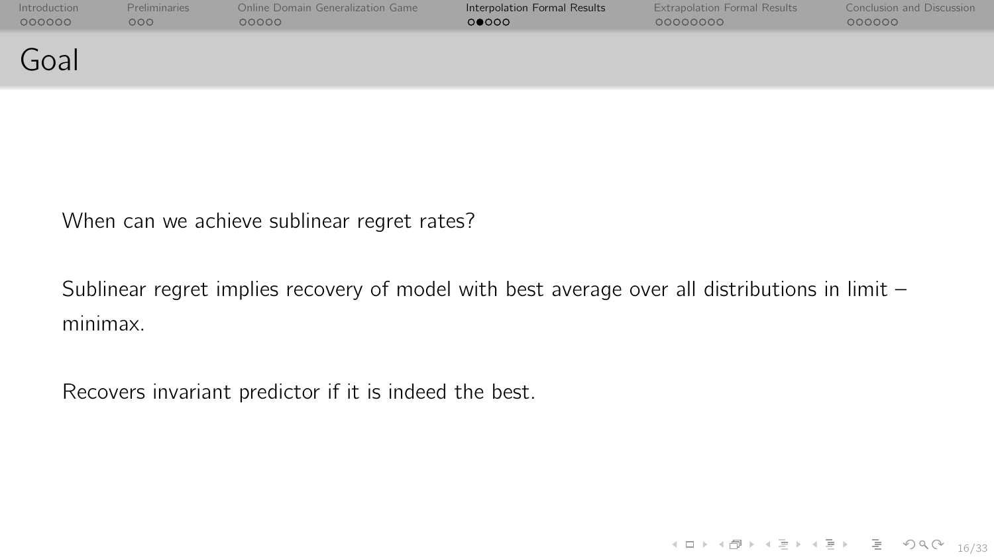| Introduction | <b>Preliminaries</b> | Online Domain Generalization Game | Interpolation Formal Results | <b>Extrapolation Formal Results</b> | Conclusion and Discussion |
|--------------|----------------------|-----------------------------------|------------------------------|-------------------------------------|---------------------------|
| 000000       | 000 <sub>o</sub>     | 00000                             | 00000                        | 00000000                            | 000000                    |
| Goal         |                      |                                   |                              |                                     |                           |

When can we achieve sublinear regret rates?

Sublinear regret implies recovery of model with best average over all distributions in limit minimax.

Recovers invariant predictor if it is indeed the best.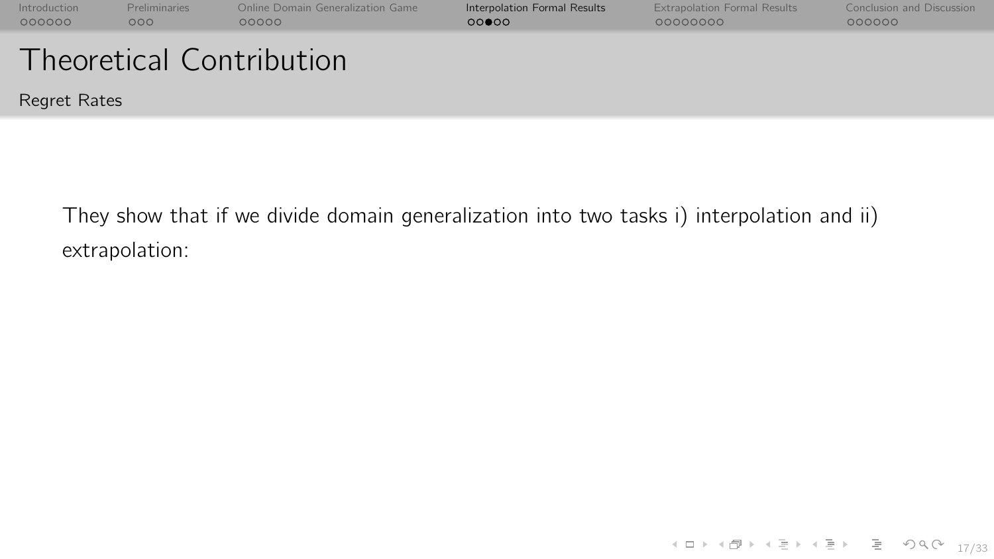| Introduction<br>000000          | <b>Preliminaries</b><br>000 | Online Domain Generalization Game<br>00000 | Interpolation Formal Results<br>00000 | <b>Extrapolation Formal Results</b><br>00000000 | Conclusion and Discussion<br>000000 |  |  |
|---------------------------------|-----------------------------|--------------------------------------------|---------------------------------------|-------------------------------------------------|-------------------------------------|--|--|
|                                 |                             |                                            |                                       |                                                 |                                     |  |  |
| <b>Theoretical Contribution</b> |                             |                                            |                                       |                                                 |                                     |  |  |
| Regret Rates                    |                             |                                            |                                       |                                                 |                                     |  |  |

They show that if we divide domain generalization into two tasks i) interpolation and ii) extrapolation: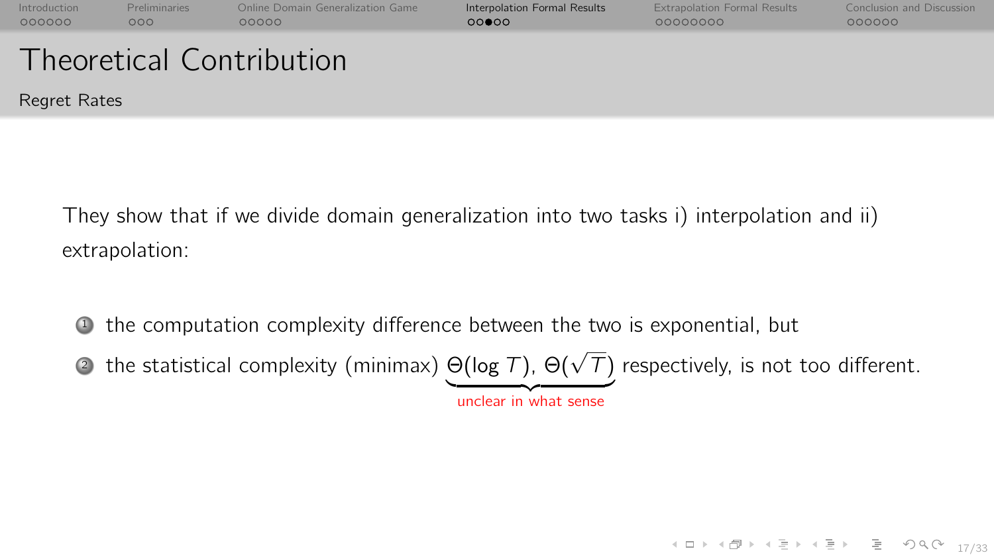| Introduction<br>000000 | <b>Preliminaries</b><br>000 | Online Domain Generalization Game<br>00000 | Interpolation Formal Results<br>00000 | <b>Extrapolation Formal Results</b><br>00000000 | Conclusion and Discussion<br>000000 |
|------------------------|-----------------------------|--------------------------------------------|---------------------------------------|-------------------------------------------------|-------------------------------------|
|                        |                             | <b>Theoretical Contribution</b>            |                                       |                                                 |                                     |
| Regret Rates           |                             |                                            |                                       |                                                 |                                     |

They show that if we divide domain generalization into two tasks i) interpolation and ii) extrapolation:

<sup>1</sup> the computation complexity difference between the two is exponential, but

 $\bullet$  the statistical complexity (minimax)  $\Theta(\log\mathcal{T})$ ,  $\Theta(\sqrt{\mathcal{T}})$  respectively, is not too different.

unclear in what sense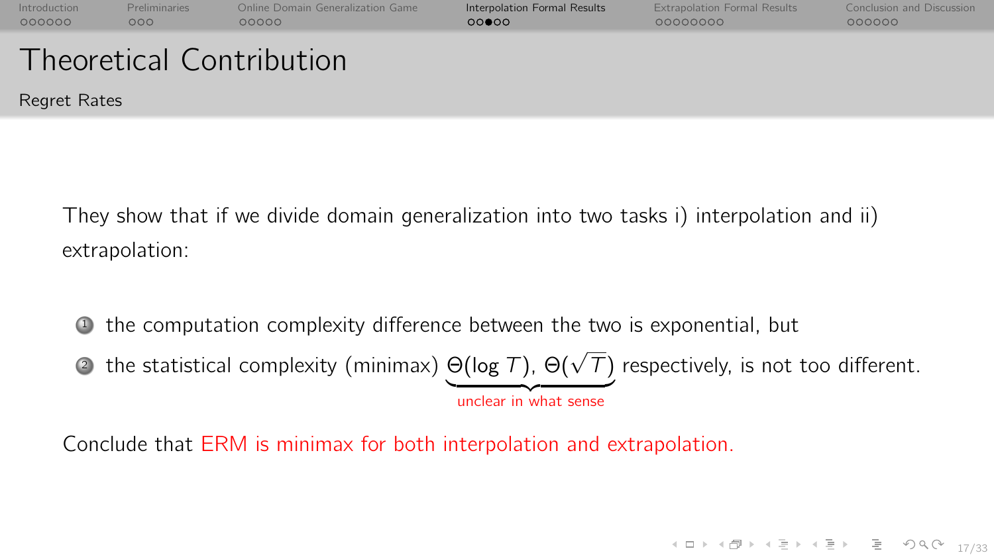| Introduction<br>000000 | <b>Preliminaries</b><br>000 | Online Domain Generalization Game<br>00000 | Interpolation Formal Results<br>00000 | <b>Extrapolation Formal Results</b><br>00000000 | Conclusion and Discussion<br>000000 |
|------------------------|-----------------------------|--------------------------------------------|---------------------------------------|-------------------------------------------------|-------------------------------------|
|                        |                             | <b>Theoretical Contribution</b>            |                                       |                                                 |                                     |
| Regret Rates           |                             |                                            |                                       |                                                 |                                     |

They show that if we divide domain generalization into two tasks i) interpolation and ii) extrapolation:

<sup>1</sup> the computation complexity difference between the two is exponential, but

 $\bullet$  the statistical complexity (minimax)  $\Theta(\log\mathcal{T})$ ,  $\Theta(\sqrt{\mathcal{T}})$  respectively, is not too different.

unclear in what sense

Conclude that ERM is minimax for both interpolation and extrapolation.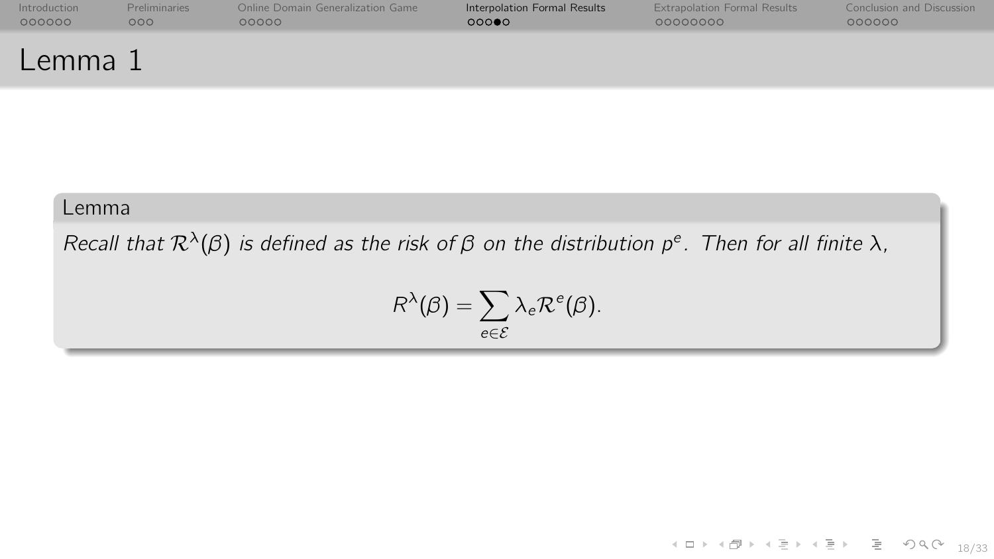| Introduction | <b>Preliminaries</b> | Online Domain Generalization Game | Interpolation Formal Results | <b>Extrapolation Formal Results</b> | Conclusion and Discussion |
|--------------|----------------------|-----------------------------------|------------------------------|-------------------------------------|---------------------------|
| 000000       | 000 <sub>o</sub>     | 00000                             | 000                          | 00000000                            | 000000                    |
| $L$ emma $J$ |                      |                                   |                              |                                     |                           |

#### Lemma

Recall that  $\mathcal{R}^{\lambda}(\beta)$  is defined as the risk of  $\beta$  on the distribution  $p^e$ . Then for all finite  $\lambda$ ,

$$
R^{\lambda}(\beta)=\sum_{e\in\mathcal{E}}\lambda_e\mathcal{R}^e(\beta).
$$

 $\mathcal{A} \subseteq \mathcal{A} \Rightarrow \mathcal{A} \subseteq \mathcal{B} \Rightarrow \mathcal{A} \subseteq \mathcal{B} \Rightarrow \mathcal{B} \subseteq \mathcal{B} \Rightarrow \mathcal{B} \subseteq \mathcal{A} \Rightarrow \mathcal{B} \Rightarrow \mathcal{B} \subseteq \mathcal{B} \Rightarrow \mathcal{B} \Rightarrow \mathcal{B} \subseteq \mathcal{B} \Rightarrow \mathcal{B} \Rightarrow \mathcal{B} \Rightarrow \mathcal{B} \Rightarrow \mathcal{B} \Rightarrow \mathcal{B} \Rightarrow \mathcal{B} \Rightarrow \mathcal{B} \Rightarrow \mathcal{B} \Rightarrow \mathcal{B} \Rightarrow \mathcal{B} \Rightarrow \mathcal{B} \Rightarrow \mathcal{$ 18/33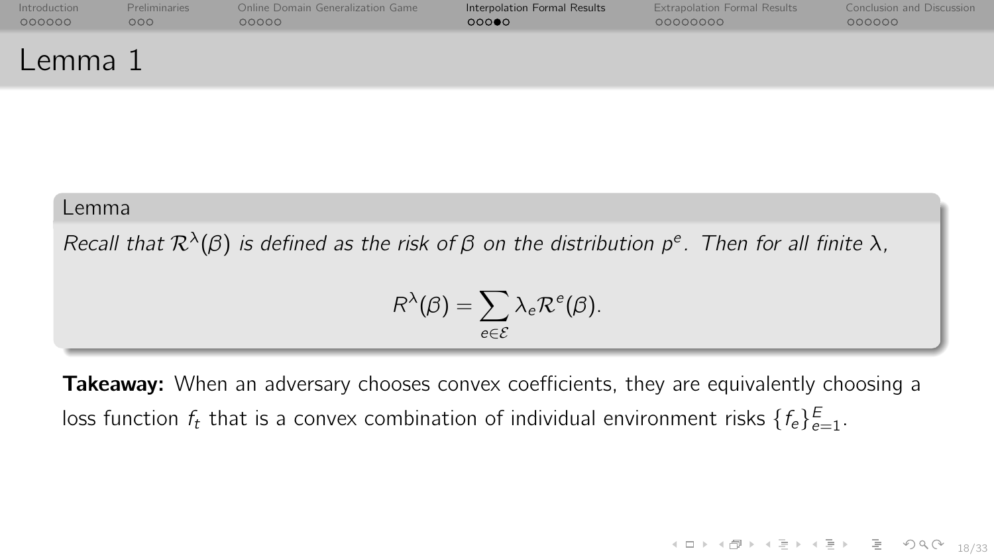| Introduction | <b>Preliminaries</b> | Online Domain Generalization Game | Interpolation Formal Results | <b>Extrapolation Formal Results</b> | Conclusion and Discussion |
|--------------|----------------------|-----------------------------------|------------------------------|-------------------------------------|---------------------------|
| 000000       | 000                  | 00000                             | 00000                        | 00000000                            | 000000                    |
| Lemma 1      |                      |                                   |                              |                                     |                           |

#### Lemma

Recall that  $\mathcal{R}^{\lambda}(\beta)$  is defined as the risk of  $\beta$  on the distribution  $p^e$ . Then for all finite  $\lambda$ ,

$$
R^{\lambda}(\beta)=\sum_{e\in\mathcal{E}}\lambda_e\mathcal{R}^e(\beta).
$$

Takeaway: When an adversary chooses convex coefficients, they are equivalently choosing a loss function  $f_t$  that is a convex combination of individual environment risks  $\{f_e\}_{e=1}^E$ .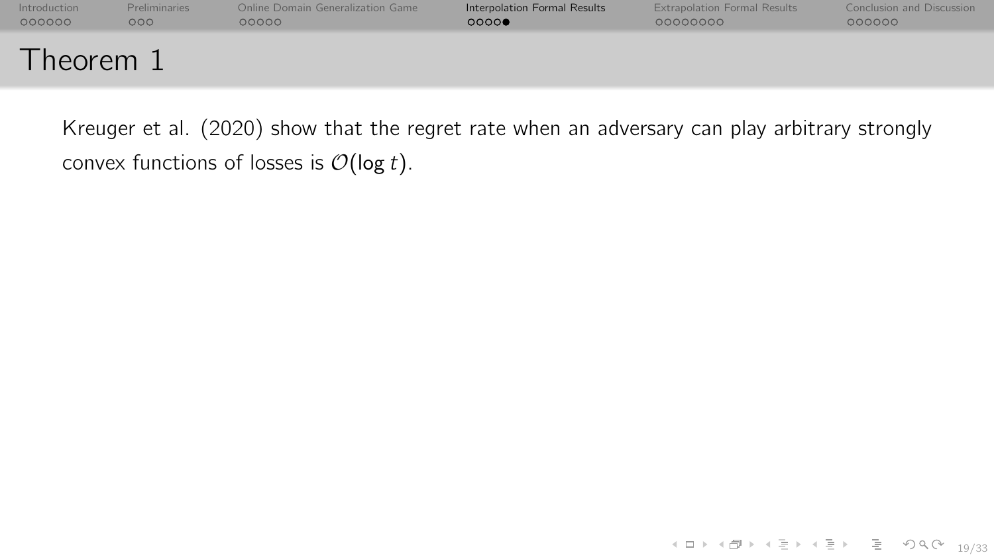| Introduction | <b>Preliminaries</b> | Online Domain Generalization Game | Interpolation Formal Results | <b>Extrapolation Formal Results</b> | Conclusion and Discussion |
|--------------|----------------------|-----------------------------------|------------------------------|-------------------------------------|---------------------------|
| 000000       | 000                  | 00000                             | 0000                         | 00000000                            | 000000                    |
| Theorem 1    |                      |                                   |                              |                                     |                           |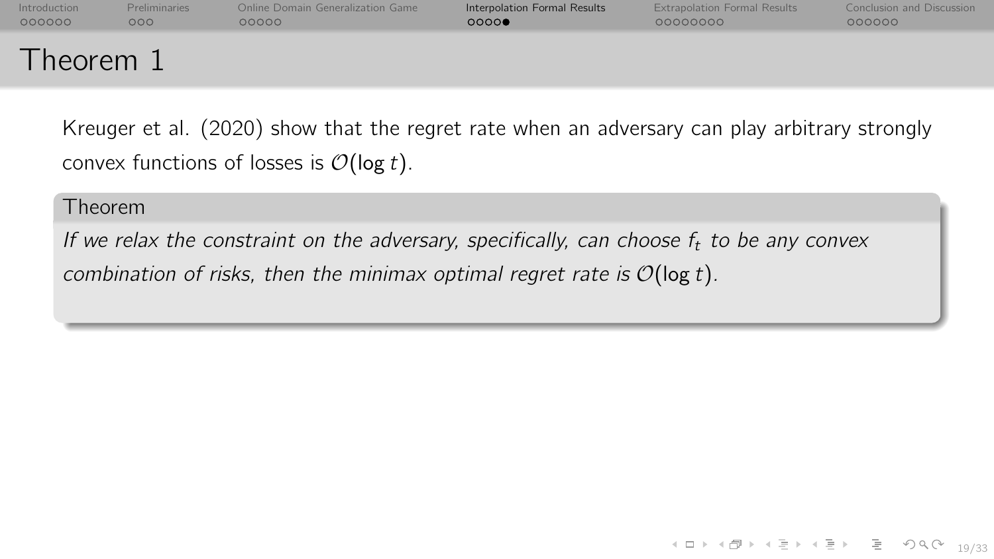| Introduction           | <b>Preliminaries</b> | Online Domain Generalization Game | Interpolation Formal Results | <b>Extrapolation Formal Results</b> | Conclusion and Discussion |
|------------------------|----------------------|-----------------------------------|------------------------------|-------------------------------------|---------------------------|
| 000000                 | 000 <sub>o</sub>     | 00000                             | 0000                         | 00000000                            | 000000                    |
| Theorem $\overline{L}$ |                      |                                   |                              |                                     |                           |

#### Theorem

If we relax the constraint on the adversary, specifically, can choose  $f_t$  to be any convex combination of risks, then the minimax optimal regret rate is  $\mathcal{O}(\log t)$ .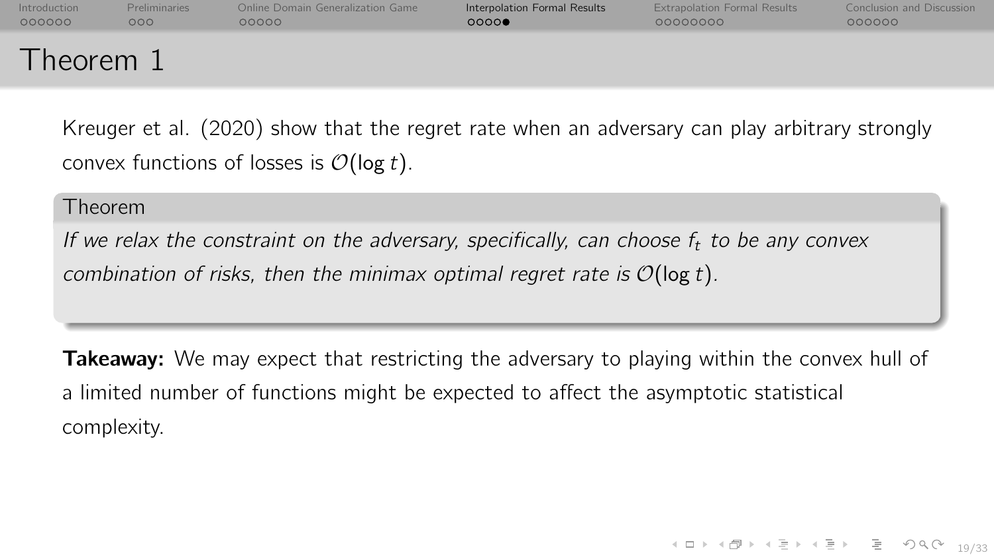| Introduction | <b>Preliminaries</b> | Online Domain Generalization Game | Interpolation Formal Results | <b>Extrapolation Formal Results</b> | Conclusion and Discussion |
|--------------|----------------------|-----------------------------------|------------------------------|-------------------------------------|---------------------------|
| 000000       | 000                  | 00000                             | 0000                         | 00000000                            | 000000                    |
| Theorem 1    |                      |                                   |                              |                                     |                           |

#### Theorem

If we relax the constraint on the adversary, specifically, can choose  $f_t$  to be any convex combination of risks, then the minimax optimal regret rate is  $\mathcal{O}(\log t)$ .

**Takeaway:** We may expect that restricting the adversary to playing within the convex hull of a limited number of functions might be expected to affect the asymptotic statistical complexity.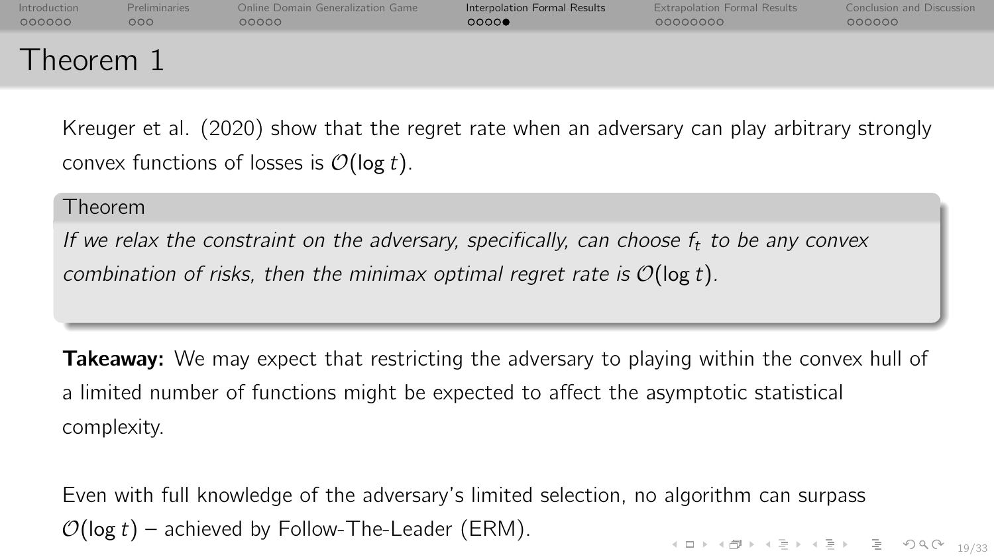| Introduction   | <b>Preliminaries</b> | Online Domain Generalization Game | Interpolation Formal Results | <b>Extrapolation Formal Results</b> | Conclusion and Discussion |
|----------------|----------------------|-----------------------------------|------------------------------|-------------------------------------|---------------------------|
| 000000         | 000                  | 00000                             | 0000                         | 00000000                            | 000000                    |
| <b>Theorem</b> |                      |                                   |                              |                                     |                           |

#### Theorem

If we relax the constraint on the adversary, specifically, can choose  $f_t$  to be any convex combination of risks, then the minimax optimal regret rate is  $\mathcal{O}(\log t)$ .

**Takeaway:** We may expect that restricting the adversary to playing within the convex hull of a limited number of functions might be expected to affect the asymptotic statistical complexity.

 $\begin{array}{rclclclcl} \mathbf{1}_{1} & \mathbf{1}_{2} & \mathbf{1}_{3} & \mathbf{1}_{4} \\ \mathbf{1}_{2} & \mathbf{1}_{3} & \mathbf{1}_{4} & \mathbf{1}_{5} & \mathbf{1}_{6} \end{array} \end{array} \begin{array}{rclclcl} \mathbf{1}_{2} & \mathbf{1}_{3} & \mathbf{1}_{5} & \mathbf{1}_{6} \\ \mathbf{1}_{3} & \mathbf{1}_{5} & \mathbf{1}_{7} & \mathbf{1}_{8} \\ \mathbf{1}_{7} & \mathbf{1}_{8} & \mathbf{1}_{9} & \mathbf{1}_{10} \$ Even with full knowledge of the adversary's limited selection, no algorithm can surpass  $O(\log t)$  – achieved by Follow-The-Leader (ERM).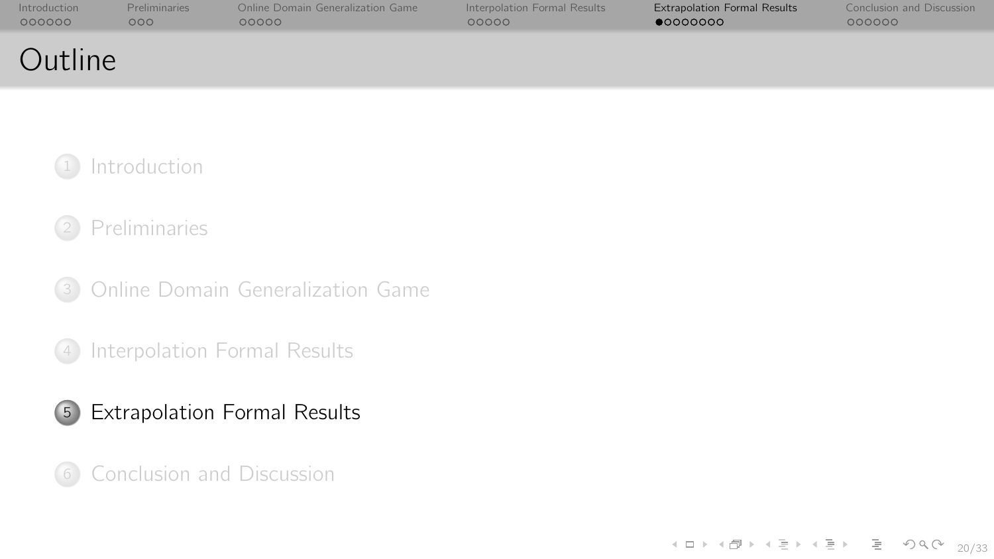<span id="page-41-0"></span>

| Introduction | <b>Preliminaries</b> | Online Domain Generalization Game | Interpolation Formal Results | <b>Extrapolation Formal Results</b> | Conclusion and Discussion |
|--------------|----------------------|-----------------------------------|------------------------------|-------------------------------------|---------------------------|
| 000000       | 000                  | റററററ                             | 00000                        | •00000000                           | 000000                    |
| Outline      |                      |                                   |                              |                                     |                           |



## [Preliminaries](#page-10-0)

[Online Domain Generalization Game](#page-17-0)

[Interpolation Formal Results](#page-30-0)



[Conclusion and Discussion](#page-61-0)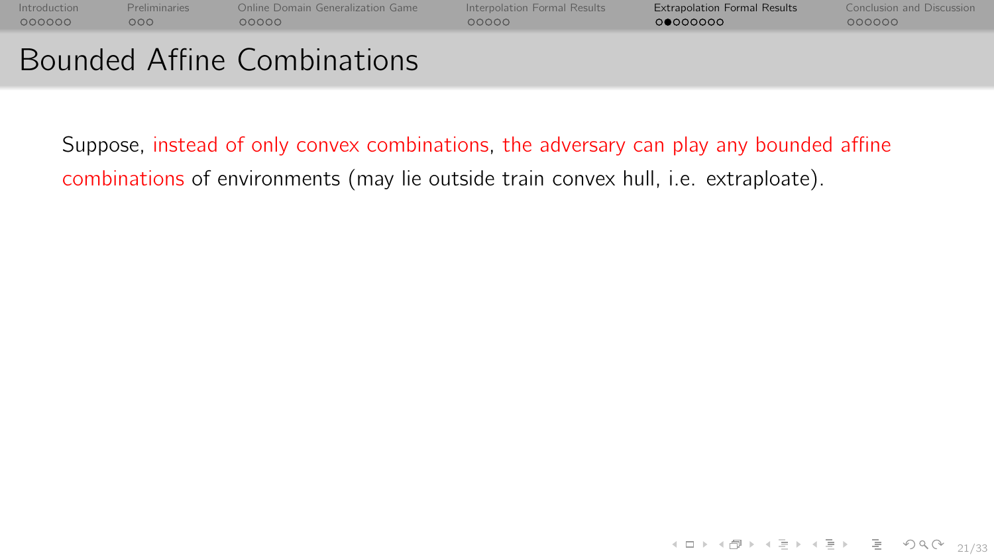| Introduction | <b>Preliminaries</b> | Online Domain Generalization Game | Interpolation Formal Results | <b>Extrapolation Formal Results</b> | Conclusion and Discussion |
|--------------|----------------------|-----------------------------------|------------------------------|-------------------------------------|---------------------------|
| 000000       | 000                  | 00000                             | 00000                        | റ●റററററ                             | 000000                    |
|              |                      | Bounded Affine Combinations       |                              |                                     |                           |

# Suppose, instead of only convex combinations, the adversary can play any bounded affine

combinations of environments (may lie outside train convex hull, i.e. extraploate).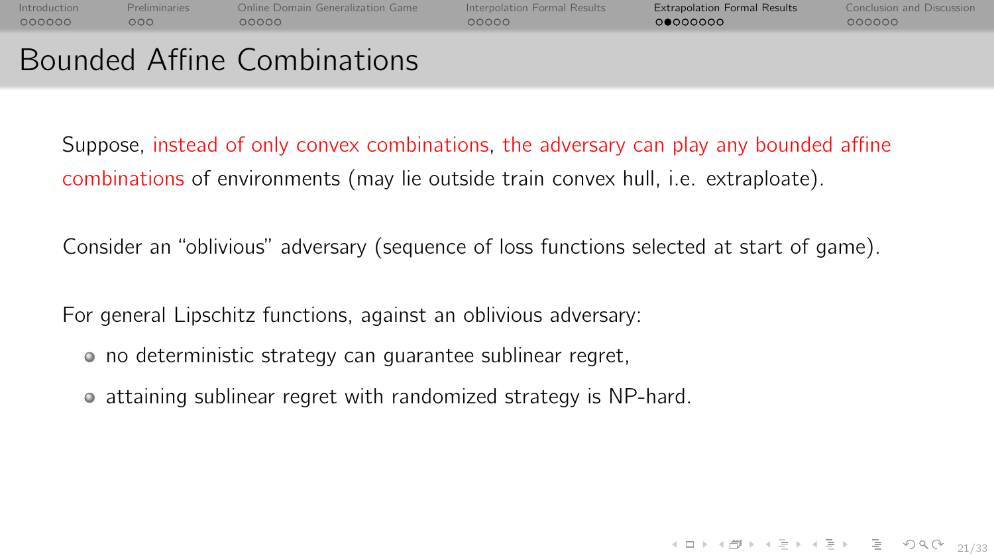| Introduction | <b>Preliminaries</b> | Online Domain Generalization Game | Interpolation Formal Results | <b>Extrapolation Formal Results</b> | <b>Conclusion and Discussion</b> |
|--------------|----------------------|-----------------------------------|------------------------------|-------------------------------------|----------------------------------|
| 000000       | റററ                  | റററററ                             | 00000                        | 00000000                            | 000000                           |
|              |                      |                                   |                              |                                     |                                  |

# Bounded Affine Combinations

Suppose, instead of only convex combinations, the adversary can play any bounded affine combinations of environments (may lie outside train convex hull, i.e. extraploate).

Consider an "oblivious" adversary (sequence of loss functions selected at start of game).

For general Lipschitz functions, against an oblivious adversary:

- o no deterministic strategy can guarantee sublinear regret,
- attaining sublinear regret with randomized strategy is NP-hard.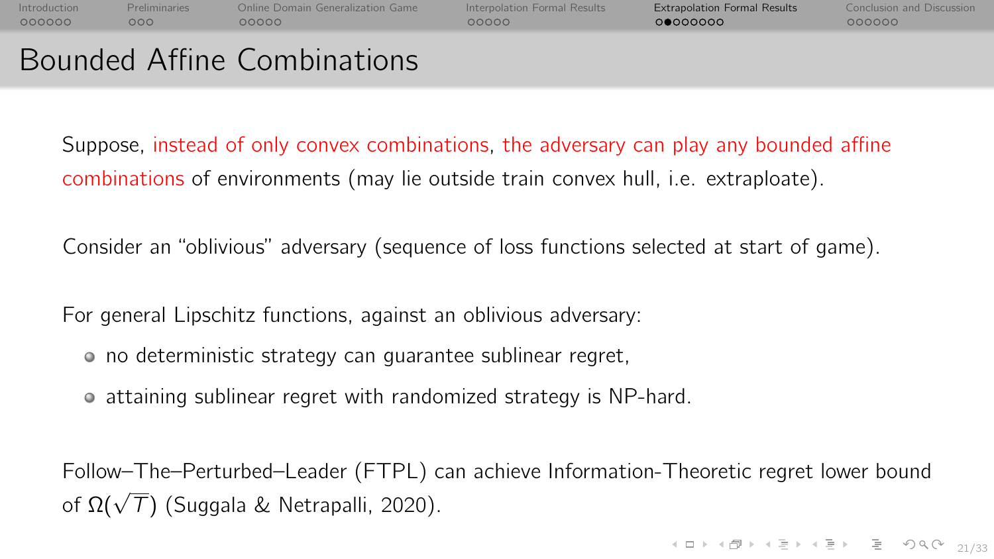| Introduction | <b>Preliminaries</b> | Online Domain Generalization Game | Interpolation Formal Results | <b>Extrapolation Formal Results</b> | <b>Conclusion and Discussion</b> |
|--------------|----------------------|-----------------------------------|------------------------------|-------------------------------------|----------------------------------|
| 000000       | റററ                  | 00000                             | COOOO                        | 00000000                            | 000000                           |
|              |                      |                                   |                              |                                     |                                  |

# Bounded Affine Combinations

Suppose, instead of only convex combinations, the adversary can play any bounded affine combinations of environments (may lie outside train convex hull, i.e. extraploate).

Consider an "oblivious" adversary (sequence of loss functions selected at start of game).

For general Lipschitz functions, against an oblivious adversary:

- o no deterministic strategy can guarantee sublinear regret,
- attaining sublinear regret with randomized strategy is NP-hard.

Follow–The–Perturbed–Leader (FTPL) can achieve Information-Theoretic regret lower bound  $\overline{C}$  of Ω( $\sqrt{T}$ ) (Suggala & Netrapalli, 2020).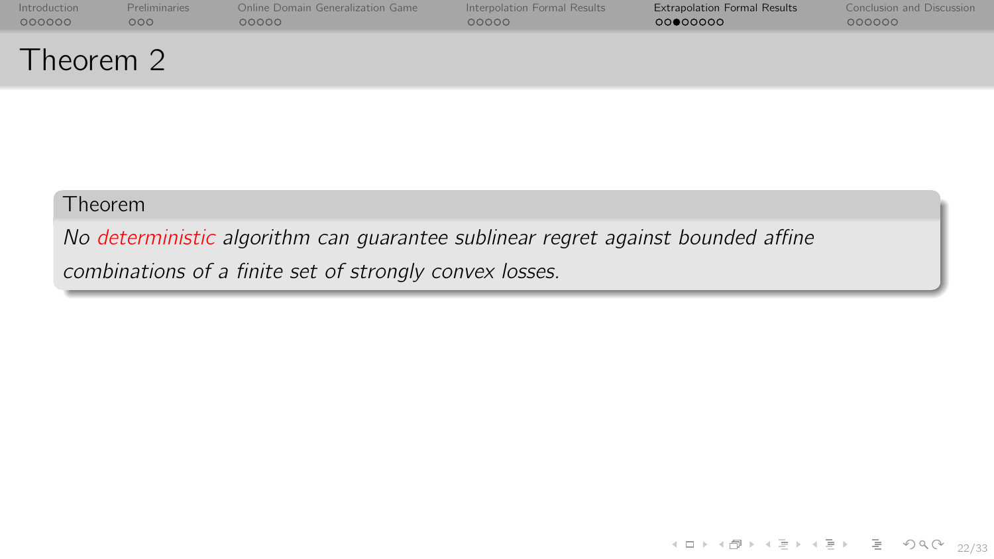| Introduction | <b>Preliminaries</b> | Online Domain Generalization Game | Interpolation Formal Results | <b>Extrapolation Formal Results</b> | Conclusion and Discussion |
|--------------|----------------------|-----------------------------------|------------------------------|-------------------------------------|---------------------------|
| 000000       | 000                  | 00000                             | 00000                        | 00000000                            | 000000                    |
| Theorem 2    |                      |                                   |                              |                                     |                           |

No deterministic algorithm can guarantee sublinear regret against bounded affine combinations of a finite set of strongly convex losses.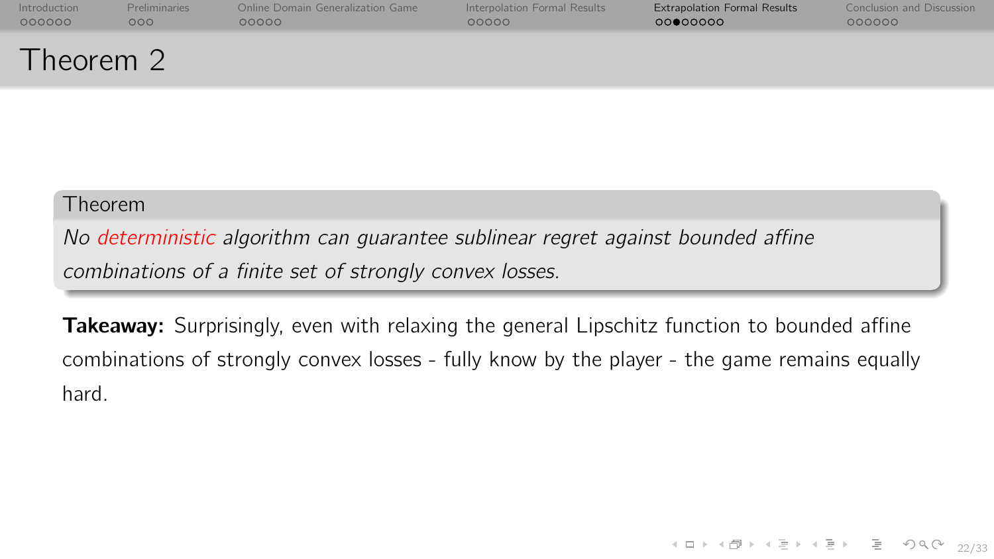| Introduction | <b>Preliminaries</b> | Online Domain Generalization Game | Interpolation Formal Results | <b>Extrapolation Formal Results</b> | <b>Conclusion and Discussion</b> |
|--------------|----------------------|-----------------------------------|------------------------------|-------------------------------------|----------------------------------|
| 000000       | 000 <sub>o</sub>     | 00000                             | 00000                        | 00000000                            | 000000                           |
| Theorem 2    |                      |                                   |                              |                                     |                                  |

No deterministic algorithm can guarantee sublinear regret against bounded affine combinations of a finite set of strongly convex losses.

**Takeaway:** Surprisingly, even with relaxing the general Lipschitz function to bounded affine combinations of strongly convex losses - fully know by the player - the game remains equally hard.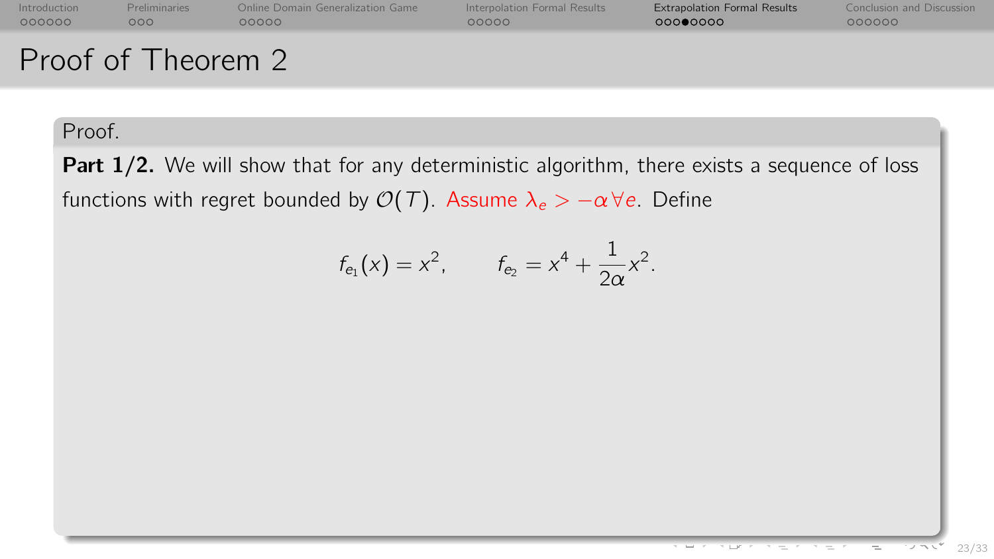| Introduction | <b>Preliminaries</b> | Online Domain Generalization Game | Interpolation Formal Results | <b>Extrapolation Formal Results</b> | Conclusion and Discussion |
|--------------|----------------------|-----------------------------------|------------------------------|-------------------------------------|---------------------------|
| 000000       | 000                  | ററററ                              | റററററ                        | 00000000                            | 000000                    |
|              | Proof of Theorem 2   |                                   |                              |                                     |                           |

Part 1/2. We will show that for any deterministic algorithm, there exists a sequence of loss functions with regret bounded by  $\mathcal{O}(\mathcal{T})$ . Assume  $\lambda_e > -\alpha \forall e$ . Define

$$
f_{e_1}(x) = x^2
$$
,  $f_{e_2} = x^4 + \frac{1}{2\alpha}x^2$ .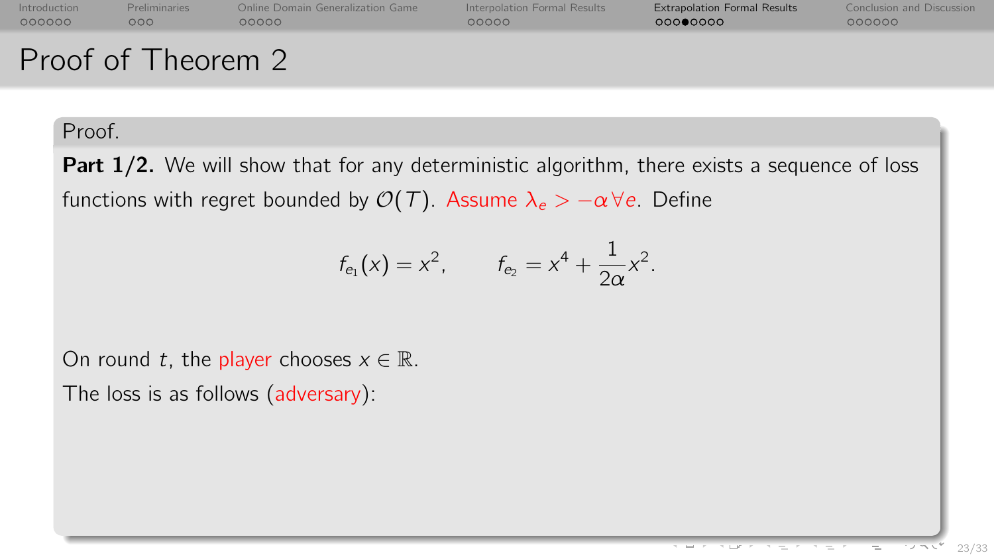| Introduction | <b>Preliminaries</b> | Online Domain Generalization Game | Interpolation Formal Results | <b>Extrapolation Formal Results</b> | Conclusion and Discussion |
|--------------|----------------------|-----------------------------------|------------------------------|-------------------------------------|---------------------------|
| 000000       | റററ                  | ററററ                              | റററററ                        | 00000000                            | 000000                    |
|              | Proof of Theorem 2   |                                   |                              |                                     |                           |

Part 1/2. We will show that for any deterministic algorithm, there exists a sequence of loss functions with regret bounded by  $\mathcal{O}(\mathcal{T})$ . Assume  $\lambda_e > -\alpha \forall e$ . Define

$$
f_{e_1}(x) = x^2
$$
,  $f_{e_2} = x^4 + \frac{1}{2\alpha}x^2$ .

On round t, the player chooses  $x \in \mathbb{R}$ .

The loss is as follows (adversary):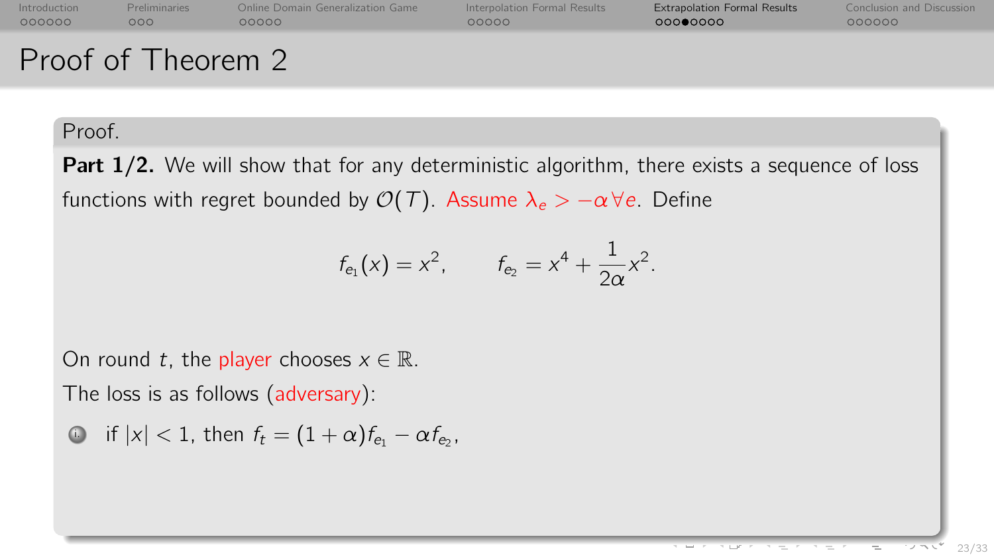| Introduction | <b>Preliminaries</b> | Online Domain Generalization Game | Interpolation Formal Results | <b>Extrapolation Formal Results</b> | Conclusion and Discussion |
|--------------|----------------------|-----------------------------------|------------------------------|-------------------------------------|---------------------------|
| 000000       | റററ                  | ററററ                              | റററററ                        | 00000000                            | 000000                    |
|              | Proof of Theorem 2   |                                   |                              |                                     |                           |

Part 1/2. We will show that for any deterministic algorithm, there exists a sequence of loss functions with regret bounded by  $\mathcal{O}(\mathcal{T})$ . Assume  $\lambda_e > -\alpha \forall e$ . Define

$$
f_{e_1}(x) = x^2
$$
,  $f_{e_2} = x^4 + \frac{1}{2\alpha}x^2$ .

On round t, the player chooses  $x \in \mathbb{R}$ .

The loss is as follows (adversary):

$$
\bullet \quad \text{if } |x| < 1, \text{ then } f_t = (1 + \alpha)f_{e_1} - \alpha f_{e_2},
$$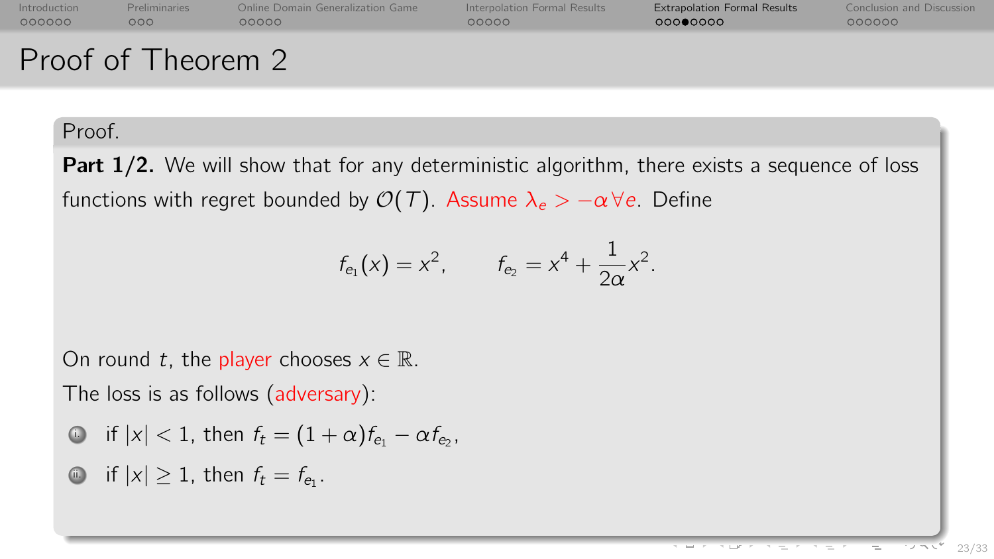| Introduction | <b>Preliminaries</b> | Online Domain Generalization Game | Interpolation Formal Results | <b>Extrapolation Formal Results</b> | Conclusion and Discussion |
|--------------|----------------------|-----------------------------------|------------------------------|-------------------------------------|---------------------------|
| 000000       | 000                  | nnnnn                             | റററററ                        | റററ⊜റററ                             | 000000                    |
|              | Proof of Theorem 2   |                                   |                              |                                     |                           |

Part 1/2. We will show that for any deterministic algorithm, there exists a sequence of loss functions with regret bounded by  $\mathcal{O}(\mathcal{T})$ . Assume  $\lambda_e > -\alpha \forall e$ . Define

$$
f_{e_1}(x) = x^2
$$
,  $f_{e_2} = x^4 + \frac{1}{2\alpha}x^2$ .

On round t, the player chooses  $x \in \mathbb{R}$ .

The loss is as follows (adversary):

$$
\bullet \quad \text{if } |x| < 1, \text{ then } f_t = (1 + \alpha)f_{e_1} - \alpha f_{e_2},
$$

.

$$
\bullet \quad \text{if } |x| \geq 1 \text{, then } f_t = f_{e_1}
$$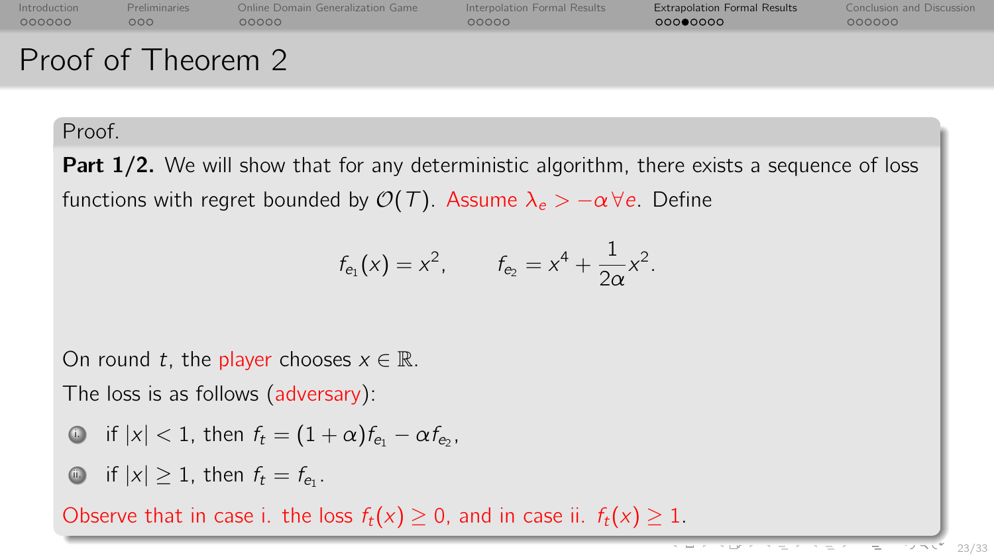| Introduction | <b>Preliminaries</b> | Online Domain Generalization Game | Interpolation Formal Results | <b>Extrapolation Formal Results</b> | Conclusion and Discussion |
|--------------|----------------------|-----------------------------------|------------------------------|-------------------------------------|---------------------------|
| 000000       | 000                  | റററററ                             | 00000                        | 00000000                            | 000000                    |
|              | Proof of Theorem 2   |                                   |                              |                                     |                           |

**Part 1/2.** We will show that for any deterministic algorithm, there exists a sequence of loss functions with regret bounded by  $\mathcal{O}(\mathcal{T})$ . Assume  $\lambda_e > -\alpha \forall e$ . Define

$$
f_{e_1}(x) = x^2
$$
,  $f_{e_2} = x^4 + \frac{1}{2\alpha}x^2$ .

On round t, the player chooses  $x \in \mathbb{R}$ .

The loss is as follows (adversary):

$$
\bullet \quad \text{if } |x| < 1, \text{ then } f_t = (1 + \alpha) f_{e_1} - \alpha f_{e_2},
$$

**ii.** if  $|x| \geq 1$ , then  $f_t = f_{e_1}$ .

Observe that in case i. the loss  $f_t(x) \geq 0$ , and in case ii.  $f_t(x) \geq 1$ .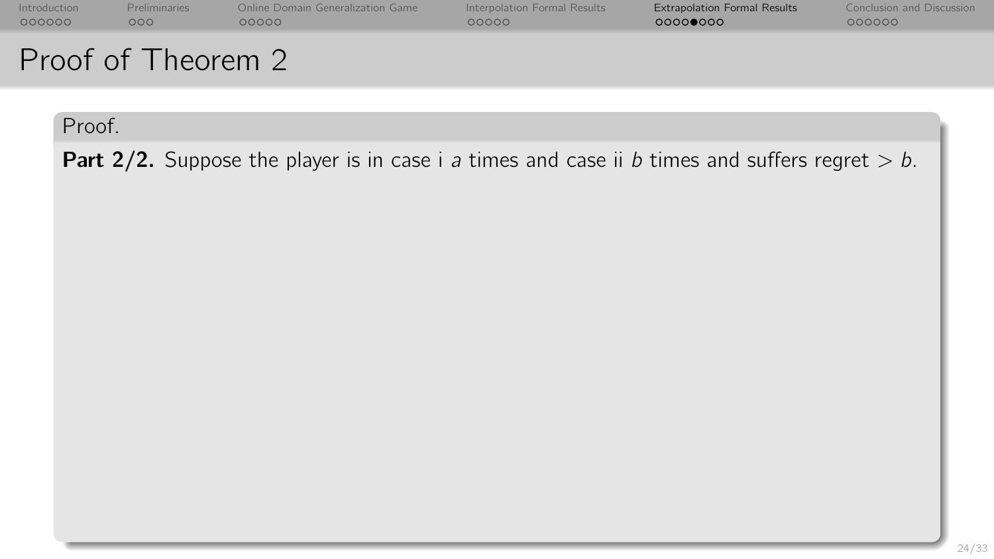| Introduction | <b>Preliminaries</b> | Online Domain Generalization Game | Interpolation Formal Results | <b>Extrapolation Formal Results</b> | Conclusion and Discussion |
|--------------|----------------------|-----------------------------------|------------------------------|-------------------------------------|---------------------------|
| 000000       | 000                  | 00000                             | 00000                        | 00000000                            | 000000                    |
|              | Proof of Theorem 2   |                                   |                              |                                     |                           |

**Part 2/2.** Suppose the player is in case i a times and case ii b times and suffers regret  $> b$ .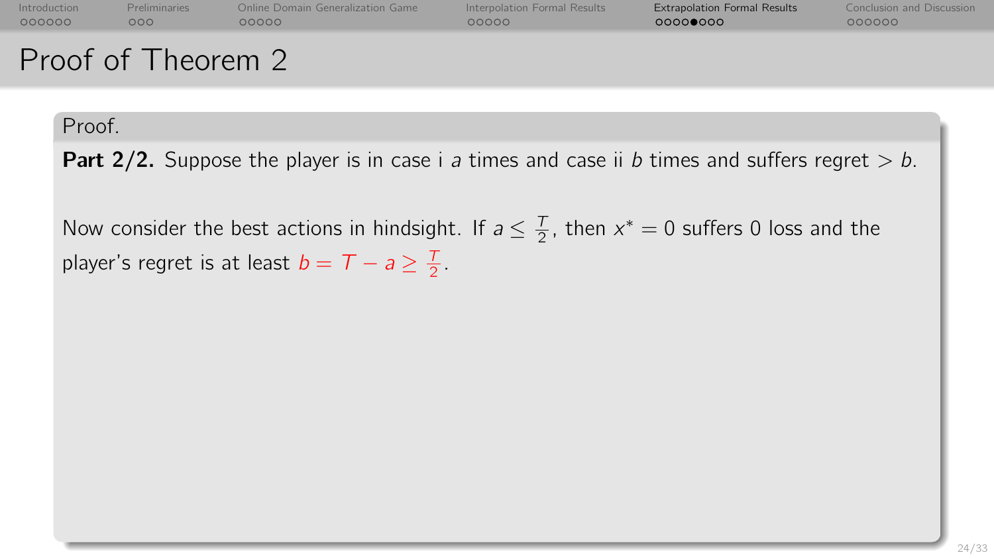| Introduction | <b>Preliminaries</b> | Online Domain Generalization Game | Interpolation Formal Results | <b>Extrapolation Formal Results</b> | Conclusion and Discussion |
|--------------|----------------------|-----------------------------------|------------------------------|-------------------------------------|---------------------------|
| 000000       | 000                  | റററററ                             | 00000                        | 00000000                            | 000000                    |
|              | Proof of Theorem 2   |                                   |                              |                                     |                           |

**Part 2/2.** Suppose the player is in case i a times and case ii b times and suffers regret  $> b$ .

Now consider the best actions in hindsight. If  $a \leq \frac{T}{2}$ , then  $x^* = 0$  suffers 0 loss and the player's regret is at least  $b = T - a \geq \frac{T}{2}$ .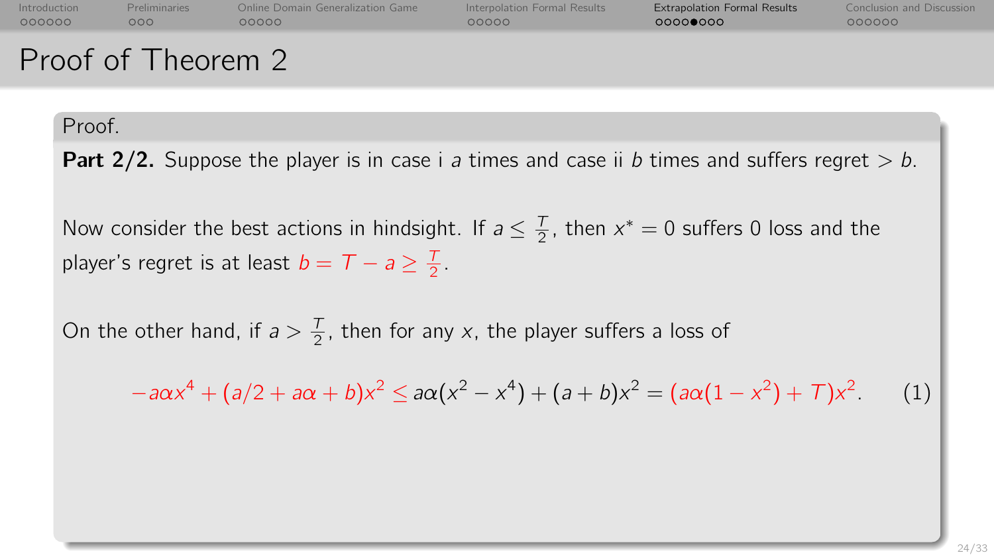| Introduction | <b>Preliminaries</b> | Online Domain Generalization Game | Interpolation Formal Results | <b>Extrapolation Formal Results</b> | Conclusion and Discussion |
|--------------|----------------------|-----------------------------------|------------------------------|-------------------------------------|---------------------------|
| 000000       | റററ                  | 00000                             | റററററ                        | 000000000                           | 000000                    |
|              | Proof of Theorem 2   |                                   |                              |                                     |                           |

**Part 2/2.** Suppose the player is in case i a times and case ii b times and suffers regret  $> b$ .

Now consider the best actions in hindsight. If  $a \leq \frac{T}{2}$ , then  $x^* = 0$  suffers 0 loss and the player's regret is at least  $b = T - a \geq \frac{T}{2}$ .

On the other hand, if  $a > \frac{T}{2}$ , then for any x, the player suffers a loss of

$$
-a\alpha x^4 + (a/2 + a\alpha + b)x^2 \le a\alpha (x^2 - x^4) + (a + b)x^2 = (a\alpha (1 - x^2) + 7)x^2
$$
 (1)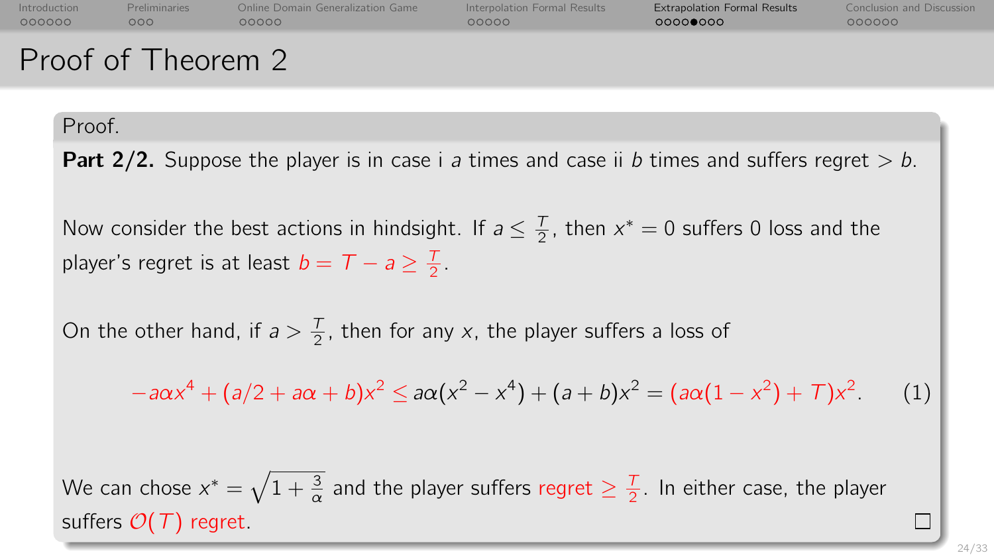| Introduction | <b>Preliminaries</b> | Online Domain Generalization Game | Interpolation Formal Results | <b>Extrapolation Formal Results</b> | Conclusion and Discussion |
|--------------|----------------------|-----------------------------------|------------------------------|-------------------------------------|---------------------------|
| 000000       | റററ                  | റററററ                             | റററററ                        | 00000000                            | 000000                    |
|              | Proof of Theorem 2   |                                   |                              |                                     |                           |

**Part 2/2.** Suppose the player is in case i a times and case ii b times and suffers regret  $> b$ .

Now consider the best actions in hindsight. If  $a \leq \frac{T}{2}$ , then  $x^* = 0$  suffers 0 loss and the player's regret is at least  $b = T - a \geq \frac{T}{2}$ .

On the other hand, if  $a > \frac{T}{2}$ , then for any x, the player suffers a loss of

$$
-a\alpha x^4 + (a/2 + a\alpha + b)x^2 \le a\alpha (x^2 - x^4) + (a + b)x^2 = (a\alpha (1 - x^2) + 7)x^2
$$
 (1)

We can chose  $x^*=\sqrt{1+\frac{3}{\alpha}}$  and the player suffers regret  $\geq \frac{7}{2}.$  In either case, the player suffers  $\mathcal{O}(T)$  regret.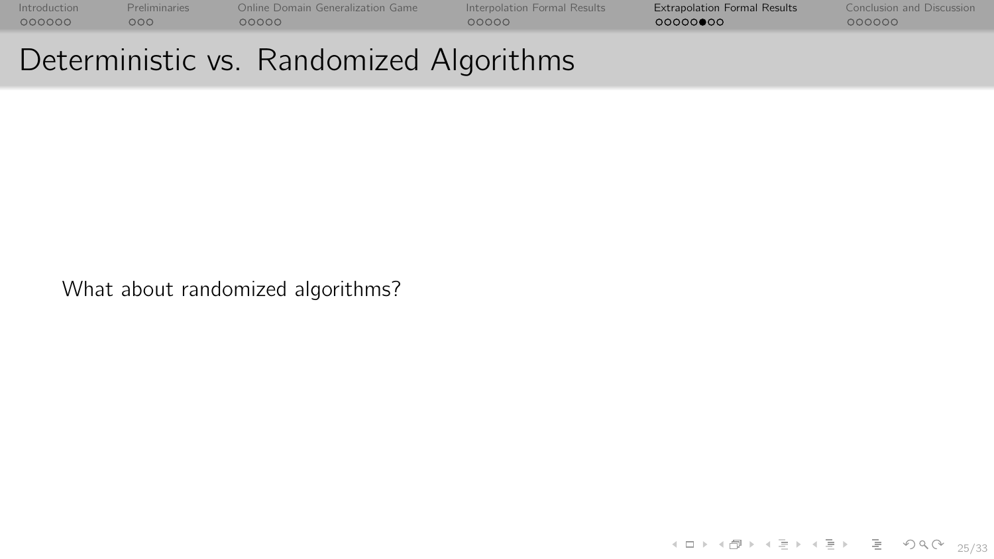[Introduction](#page-0-0) [Preliminaries](#page-10-0) [Online Domain Generalization Game](#page-17-0) [Interpolation Formal Results](#page-30-0) [Extrapolation Formal Results](#page-41-0) [Conclusion and Discussion](#page-61-0)

# Deterministic vs. Randomized Algorithms

What about randomized algorithms?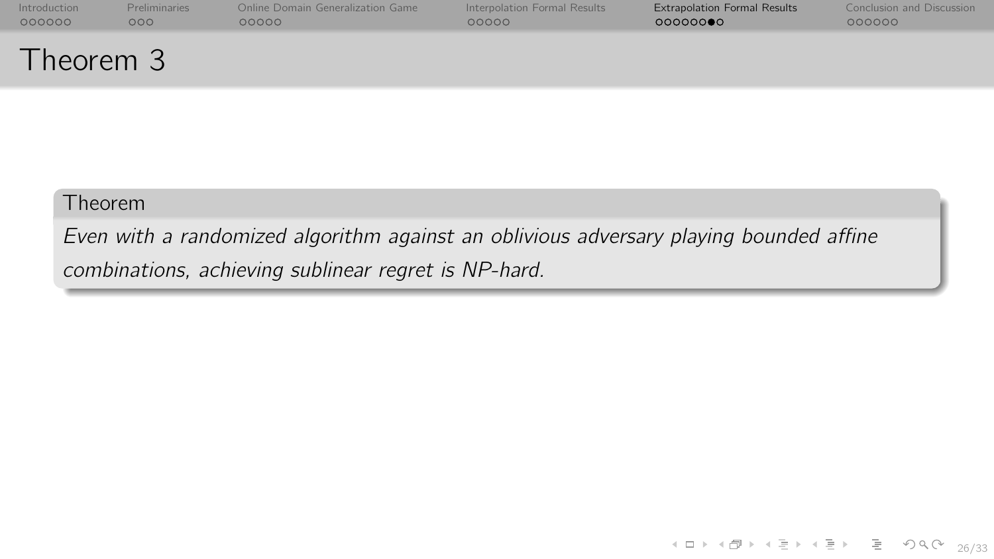| Introduction | <b>Preliminaries</b> | Online Domain Generalization Game | Interpolation Formal Results | <b>Extrapolation Formal Results</b> | Conclusion and Discussion |
|--------------|----------------------|-----------------------------------|------------------------------|-------------------------------------|---------------------------|
| 000000       | 000                  | 00000                             | 00000                        | 000000                              | 000000                    |
| Theorem 3    |                      |                                   |                              |                                     |                           |

Even with a randomized algorithm against an oblivious adversary playing bounded affine combinations, achieving sublinear regret is NP-hard.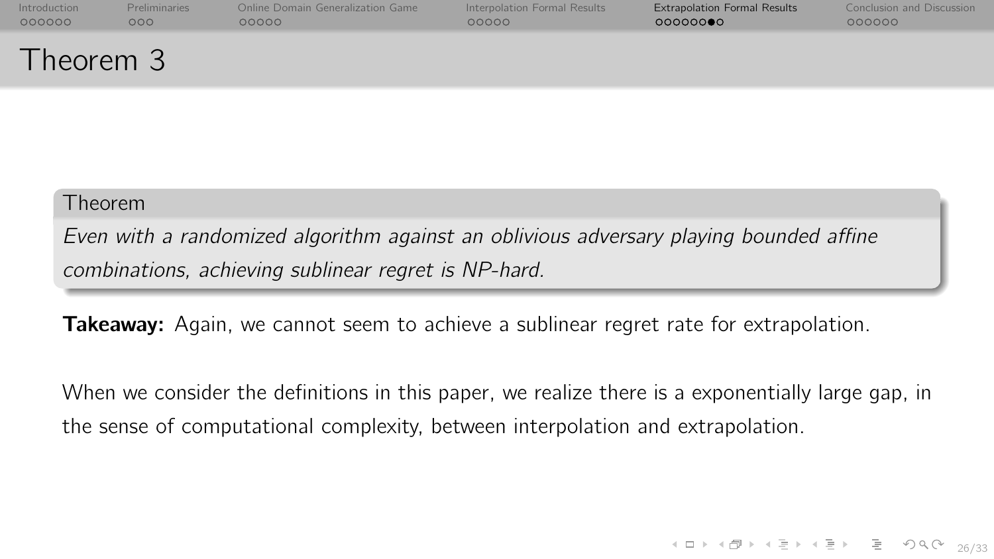| Introduction | <b>Preliminaries</b> | Online Domain Generalization Game | Interpolation Formal Results | <b>Extrapolation Formal Results</b> | Conclusion and Discussion |
|--------------|----------------------|-----------------------------------|------------------------------|-------------------------------------|---------------------------|
| 000000       | 000 <sub>o</sub>     | 00000                             | 00000                        | 00000000                            | 000000                    |
| Theorem 3    |                      |                                   |                              |                                     |                           |

Even with a randomized algorithm against an oblivious adversary playing bounded affine combinations, achieving sublinear regret is NP-hard.

Takeaway: Again, we cannot seem to achieve a sublinear regret rate for extrapolation.

When we consider the definitions in this paper, we realize there is a exponentially large gap, in the sense of computational complexity, between interpolation and extrapolation.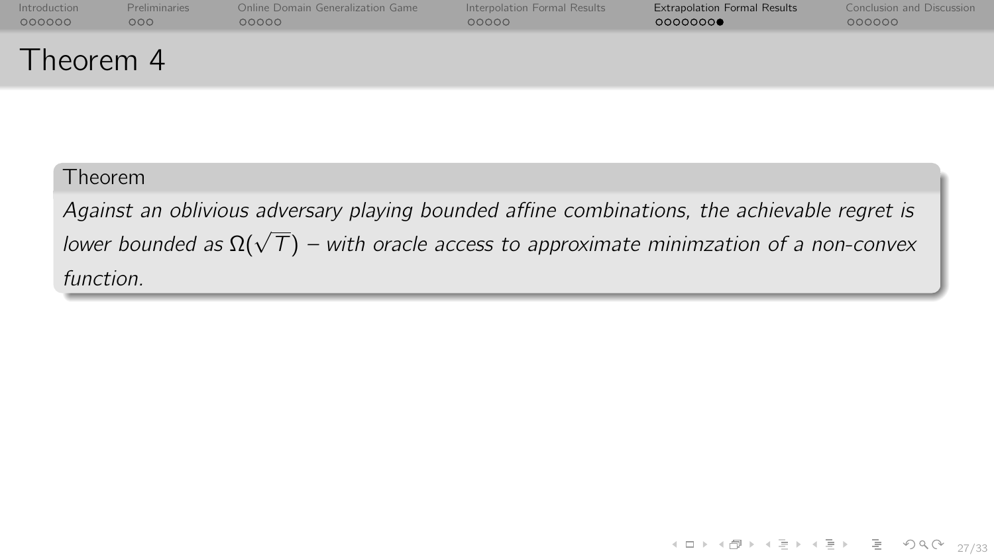| Introduction | <b>Preliminaries</b> | Online Domain Generalization Game | Interpolation Formal Results | <b>Extrapolation Formal Results</b> | Conclusion and Discussion |
|--------------|----------------------|-----------------------------------|------------------------------|-------------------------------------|---------------------------|
| 000000       | 000 <sub>o</sub>     | 00000                             | 00000                        | 00000000                            | 000000                    |
| Theorem 4    |                      |                                   |                              |                                     |                           |

Against an oblivious adversary playing bounded affine combinations, the achievable regret is  $l$ oganist an isomition antition programmed announcement communication, the asthermatic registing lower bounded as  $\Omega(\sqrt{T})$  – with oracle access to approximate minimzation of a non-convex function.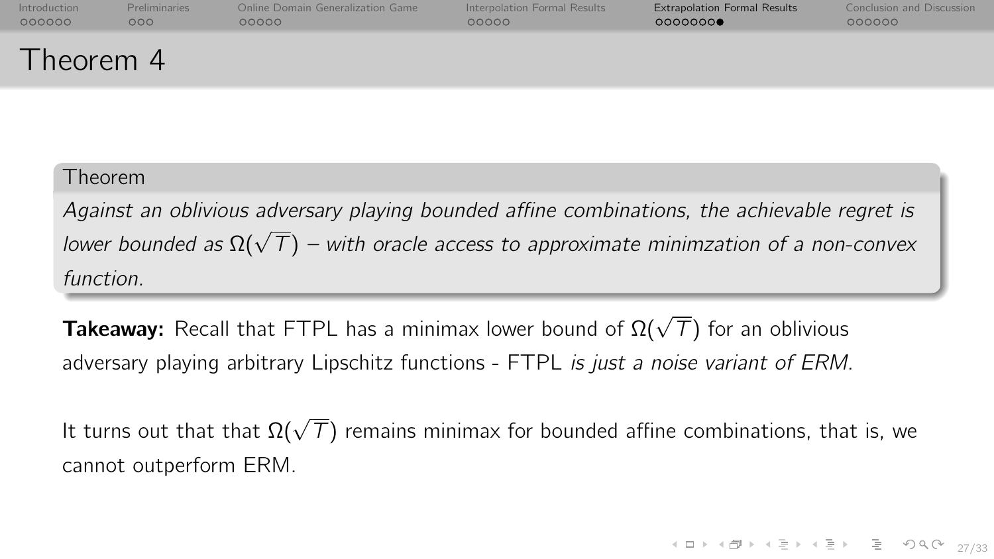| Introduction | <b>Preliminaries</b> | Online Domain Generalization Game | Interpolation Formal Results | <b>Extrapolation Formal Results</b> | Conclusion and Discussion |
|--------------|----------------------|-----------------------------------|------------------------------|-------------------------------------|---------------------------|
| 000000       | 000                  | 00000                             | 00000                        | 00000000                            | 000000                    |
| Theorem 4    |                      |                                   |                              |                                     |                           |

Against an oblivious adversary playing bounded affine combinations, the achievable regret is  $l$ oganist an isomition antition programmed announcement communication, the asthermatic registing lower bounded as  $\Omega(\sqrt{T})$  – with oracle access to approximate minimzation of a non-convex function.

**Takeaway:** Recall that FTPL has a minimax lower bound of  $\Omega(\sqrt{T})$  for an oblivious adversary playing arbitrary Lipschitz functions - FTPL is just a noise variant of ERM.

It turns out that that  $\Omega(\sqrt{\mathcal{T}})$  remains minimax for bounded affine combinations, that is, we cannot outperform ERM.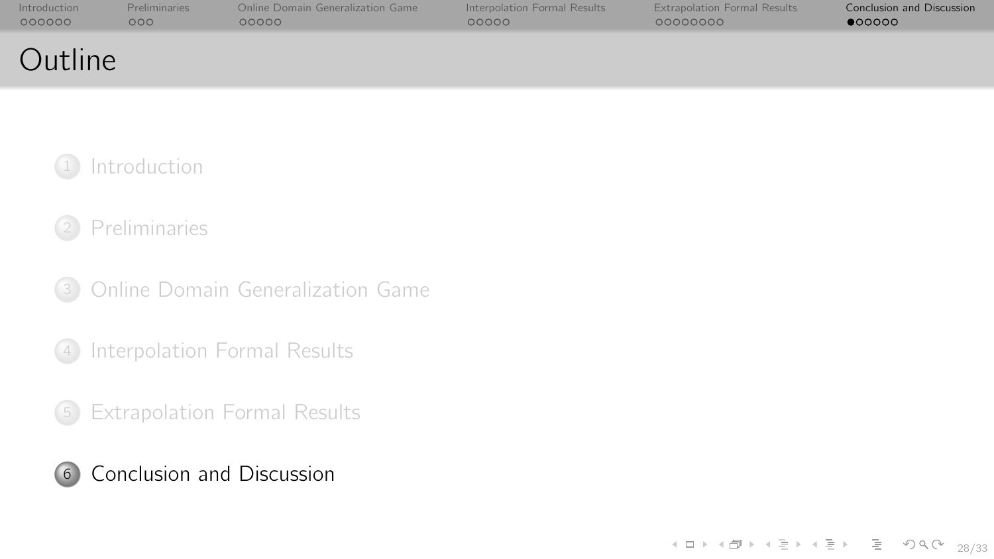<span id="page-61-0"></span>

| Introduction | <b>Preliminaries</b> | Online Domain Generalization Game | Interpolation Formal Results | <b>Extrapolation Formal Results</b> | Conclusion and Discussion |
|--------------|----------------------|-----------------------------------|------------------------------|-------------------------------------|---------------------------|
| 000000       | 000                  | ററററ                              | 00000                        | 00000000                            | $\bullet$ 00000           |
| Outline      |                      |                                   |                              |                                     |                           |

## **[Introduction](#page-0-0)**

## <sup>2</sup> [Preliminaries](#page-10-0)

<sup>3</sup> [Online Domain Generalization Game](#page-17-0)

<sup>4</sup> [Interpolation Formal Results](#page-30-0)

<sup>5</sup> [Extrapolation Formal Results](#page-41-0)

## <sup>6</sup> [Conclusion and Discussion](#page-61-0)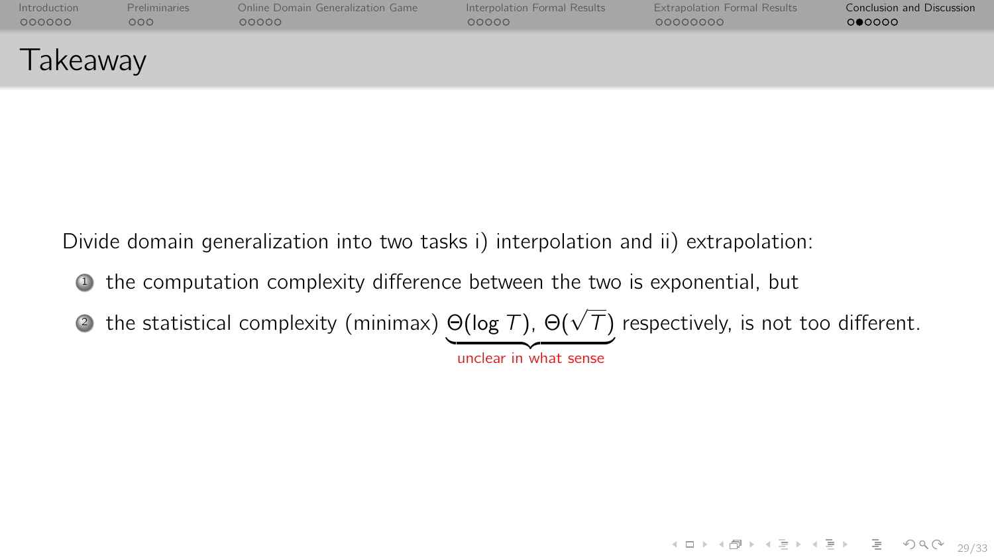| Introduction | <b>Preliminaries</b> | Online Domain Generalization Game | Interpolation Formal Results | <b>Extrapolation Formal Results</b> | <b>Conclusion and Discussion</b> |
|--------------|----------------------|-----------------------------------|------------------------------|-------------------------------------|----------------------------------|
| 000000       | 000                  | 00000                             | 00000                        | 00000000                            | 000000                           |
| Takeaway     |                      |                                   |                              |                                     |                                  |

Divide domain generalization into two tasks i) interpolation and ii) extrapolation:

- <sup>1</sup> the computation complexity difference between the two is exponential, but
- $\bullet$  the statistical complexity (minimax)  $\Theta(\log\mathcal{T})$ ,  $\Theta(\sqrt{\mathcal{T}})$  respectively, is not too different.

unclear in what sense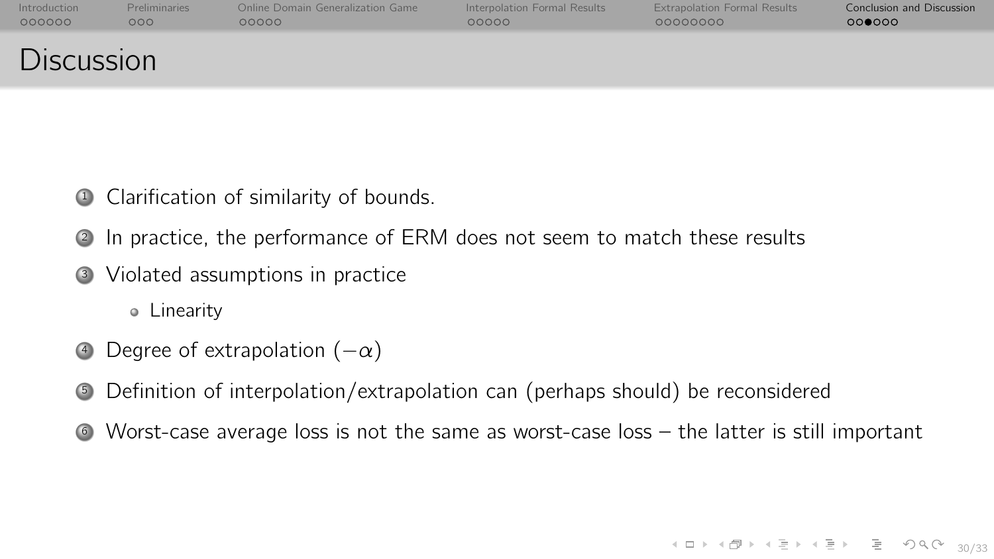| Introduction      | <b>Preliminaries</b> | Online Domain Generalization Game | Interpolation Formal Results | <b>Extrapolation Formal Results</b> | <b>Conclusion and Discussion</b> |
|-------------------|----------------------|-----------------------------------|------------------------------|-------------------------------------|----------------------------------|
| 000000            | 000                  | 00000                             | 00000                        | 00000000                            | 000000                           |
| <b>Discussion</b> |                      |                                   |                              |                                     |                                  |

- <sup>1</sup> Clarification of similarity of bounds.
- <sup>2</sup> In practice, the performance of ERM does not seem to match these results
- <sup>3</sup> Violated assumptions in practice

Linearity

- 4 Degree of extrapolation  $(-\alpha)$
- <sup>5</sup> Definition of interpolation/extrapolation can (perhaps should) be reconsidered
- <sup>6</sup> Worst-case average loss is not the same as worst-case loss the latter is still important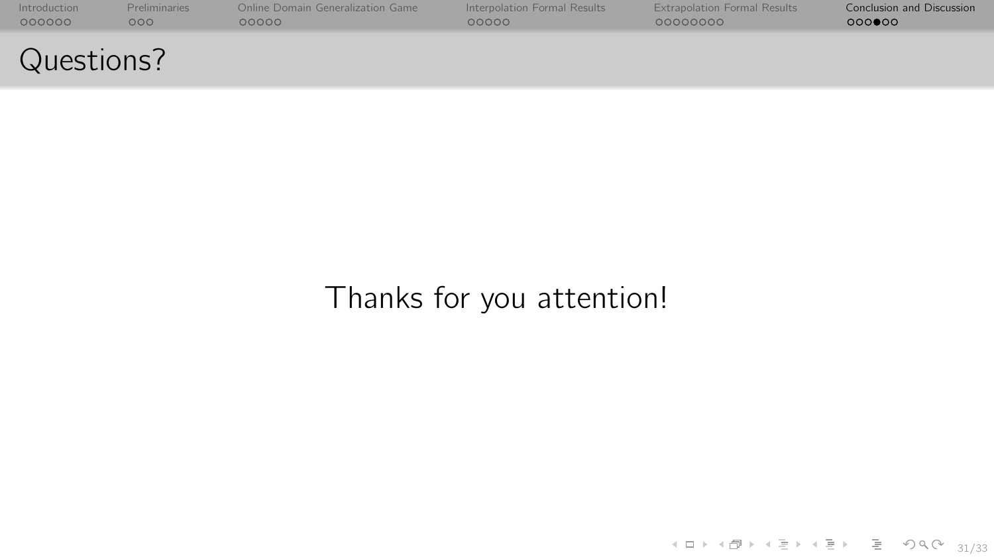| Introduction | <b>Preliminaries</b> | Online Domain Generalization Game | Interpolation Formal Results | <b>Extrapolation Formal Results</b> | <b>Conclusion and Discussion</b> |
|--------------|----------------------|-----------------------------------|------------------------------|-------------------------------------|----------------------------------|
| 000000       | 000                  | റററററ                             | 00000                        | 00000000                            | 000000                           |
| Questions?   |                      |                                   |                              |                                     |                                  |

# Thanks for you attention!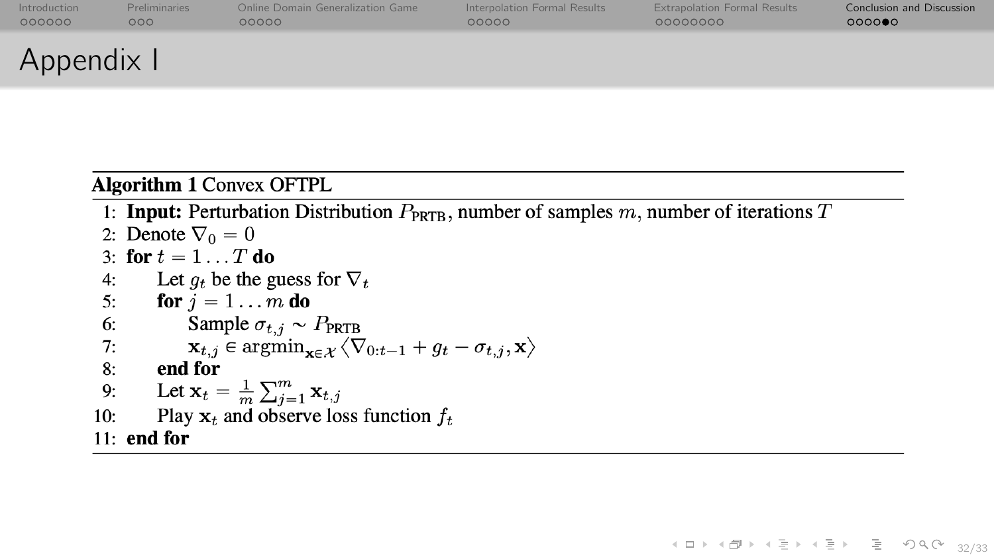| Introduction | <b>Preliminaries</b> | Online Domain Generalization Game | Interpolation Formal Results | <b>Extrapolation Formal Results</b> | <b>Conclusion and Discussion</b> |
|--------------|----------------------|-----------------------------------|------------------------------|-------------------------------------|----------------------------------|
| 000000       | 000 <sub>o</sub>     | 00000                             | 00000                        | 00000000                            | 000000                           |
| Appendix I   |                      |                                   |                              |                                     |                                  |

#### **Algorithm 1 Convex OFTPL**

1: **Input:** Perturbation Distribution  $P_{\text{PRTB}}$ , number of samples m, number of iterations T

4 ロ → 4 @ → 4 할 → 4 할 → 2 할 → 9 Q (\* 32/33)

2: Denote  $\nabla_0 = 0$ 3. for  $t = 1$  T do Let  $q_t$  be the guess for  $\nabla_t$  $4:$  $5:$ for  $j = 1 \ldots m$  do Sample  $\sigma_{t,j} \sim P_{\text{PRTB}}$  $6:$  $\mathbf{x}_{t,i} \in \arg\min_{\mathbf{x} \in \mathcal{X}} \langle \nabla_{0:t-1} + g_t - \sigma_{t,i}, \mathbf{x} \rangle$  $7:$  $8:$ end for Let  $\mathbf{x}_t = \frac{1}{m} \sum_{j=1}^m \mathbf{x}_{t,j}$  $9:$  $10:$ Play  $x_t$  and observe loss function  $f_t$  $11:$  end for